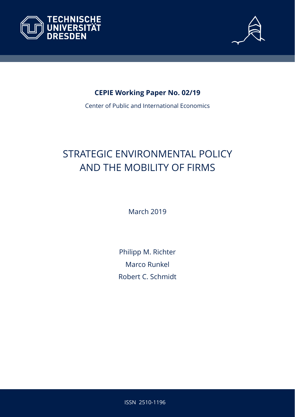



### **CEPIE Working Paper No. 02/19**

Center of Public and International Economics

# STRATEGIC ENVIRONMENTAL POLICY AND THE MOBILITY OF FIRMS

March 2019

Philipp M. Richter Marco Runkel Robert C. Schmidt

ISSN 2510-1196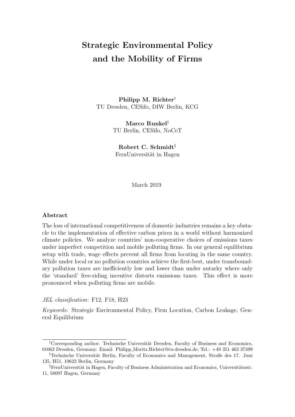## Strategic Environmental Policy and the Mobility of Firms

Philipp M. Richter† TU Dresden, CESifo, DIW Berlin, KCG

> Marco Runkel‡ TU Berlin, CESifo, NoCeT

Robert C. Schmidt§ FernUniversität in Hagen

March 2019

#### Abstract

The loss of international competitiveness of domestic industries remains a key obstacle to the implementation of effective carbon prices in a world without harmonized climate policies. We analyze countries' non-cooperative choices of emissions taxes under imperfect competition and mobile polluting firms. In our general equilibrium setup with trade, wage effects prevent all firms from locating in the same country. While under local or no pollution countries achieve the first-best, under transboundary pollution taxes are inefficiently low and lower than under autarky where only the 'standard' free-riding incentive distorts emissions taxes. This effect is more pronounced when polluting firms are mobile.

JEL classification: F12, F18, H23

Keywords: Strategic Environmental Policy, Firm Location, Carbon Leakage, General Equilibrium

<sup>&</sup>lt;sup>†</sup>Corresponding author: Technische Universität Dresden, Faculty of Business and Economics, 01062 Dresden, Germany. Email: Philipp Moritz.Richter@tu-dresden.de; Tel.: +49 351 463 37499

<sup>&</sup>lt;sup>‡</sup>Technische Universität Berlin, Faculty of Economics and Management, Straße des 17. Juni 135, H51, 10623 Berlin, Germany

 $\S$ FernUniversität in Hagen, Faculty of Business Administration and Economics, Universitätsstr. 11, 58097 Hagen, Germany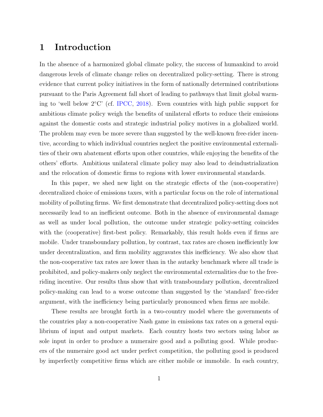#### 1 Introduction

In the absence of a harmonized global climate policy, the success of humankind to avoid dangerous levels of climate change relies on decentralized policy-setting. There is strong evidence that current policy initiatives in the form of nationally determined contributions pursuant to the Paris Agreement fall short of leading to pathways that limit global warming to 'well below 2◦C' (cf. [IPCC,](#page-30-0) [2018\)](#page-30-0). Even countries with high public support for ambitious climate policy weigh the benefits of unilateral efforts to reduce their emissions against the domestic costs and strategic industrial policy motives in a globalized world. The problem may even be more severe than suggested by the well-known free-rider incentive, according to which individual countries neglect the positive environmental externalities of their own abatement efforts upon other countries, while enjoying the benefits of the others' efforts. Ambitious unilateral climate policy may also lead to deindustrialization and the relocation of domestic firms to regions with lower environmental standards.

In this paper, we shed new light on the strategic effects of the (non-cooperative) decentralized choice of emissions taxes, with a particular focus on the role of international mobility of polluting firms. We first demonstrate that decentralized policy-setting does not necessarily lead to an inefficient outcome. Both in the absence of environmental damage as well as under local pollution, the outcome under strategic policy-setting coincides with the (cooperative) first-best policy. Remarkably, this result holds even if firms are mobile. Under transboundary pollution, by contrast, tax rates are chosen inefficiently low under decentralization, and firm mobility aggravates this inefficiency. We also show that the non-cooperative tax rates are lower than in the autarky benchmark where all trade is prohibited, and policy-makers only neglect the environmental externalities due to the freeriding incentive. Our results thus show that with transboundary pollution, decentralized policy-making can lead to a worse outcome than suggested by the 'standard' free-rider argument, with the inefficiency being particularly pronounced when firms are mobile.

These results are brought forth in a two-country model where the governments of the countries play a non-cooperative Nash game in emissions tax rates on a general equilibrium of input and output markets. Each country hosts two sectors using labor as sole input in order to produce a numeraire good and a polluting good. While producers of the numeraire good act under perfect competition, the polluting good is produced by imperfectly competitive firms which are either mobile or immobile. In each country,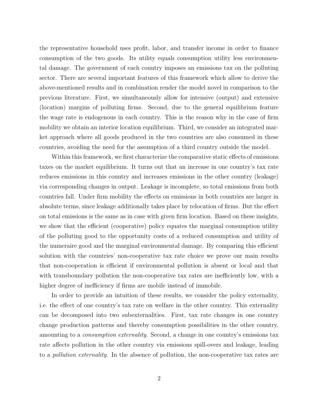the representative household uses profit, labor, and transfer income in order to finance consumption of the two goods. Its utility equals consumption utility less environmental damage. The government of each country imposes an emissions tax on the polluting sector. There are several important features of this framework which allow to derive the above-mentioned results and in combination render the model novel in comparison to the previous literature. First, we simultaneously allow for intensive (output) and extensive (location) margins of polluting firms. Second, due to the general equilibrium feature the wage rate is endogenous in each country. This is the reason why in the case of firm mobility we obtain an interior location equilibrium. Third, we consider an integrated market approach where all goods produced in the two countries are also consumed in these countries, avoiding the need for the assumption of a third country outside the model.

Within this framework, we first characterize the comparative static effects of emissions taxes on the market equilibrium. It turns out that an increase in one country's tax rate reduces emissions in this country and increases emissions in the other country (leakage) via corresponding changes in output. Leakage is incomplete, so total emissions from both countries fall. Under firm mobility the effects on emissions in both countries are larger in absolute terms, since leakage additionally takes place by relocation of firms. But the effect on total emissions is the same as in case with given firm location. Based on these insights, we show that the efficient (cooperative) policy equates the marginal consumption utility of the polluting good to the opportunity costs of a reduced consumption and utility of the numeraire good and the marginal environmental damage. By comparing this efficient solution with the countries' non-cooperative tax rate choice we prove our main results that non-cooperation is efficient if environmental pollution is absent or local and that with transboundary pollution the non-cooperative tax rates are inefficiently low, with a higher degree of inefficiency if firms are mobile instead of immobile.

In order to provide an intuition of these results, we consider the policy externality, i.e. the effect of one country's tax rate on welfare in the other country. This externality can be decomposed into two subexternalities. First, tax rate changes in one country change production patterns and thereby consumption possibilities in the other country, amounting to a consumption externality. Second, a change in one country's emissions tax rate affects pollution in the other country via emissions spill-overs and leakage, leading to a pollution externality. In the absence of pollution, the non-cooperative tax rates are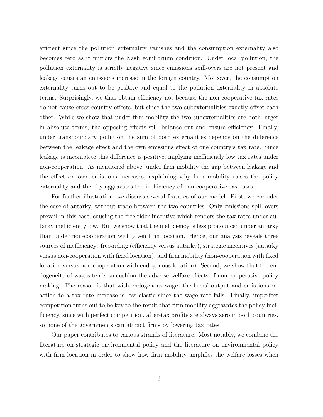efficient since the pollution externality vanishes and the consumption externality also becomes zero as it mirrors the Nash equilibrium condition. Under local pollution, the pollution externality is strictly negative since emissions spill-overs are not present and leakage causes an emissions increase in the foreign country. Moreover, the consumption externality turns out to be positive and equal to the pollution externality in absolute terms. Surprisingly, we thus obtain efficiency not because the non-cooperative tax rates do not cause cross-country effects, but since the two subexternalities exactly offset each other. While we show that under firm mobility the two subexternalities are both larger in absolute terms, the opposing effects still balance out and ensure efficiency. Finally, under transboundary pollution the sum of both externalities depends on the difference between the leakage effect and the own emissions effect of one country's tax rate. Since leakage is incomplete this difference is positive, implying inefficiently low tax rates under non-cooperation. As mentioned above, under firm mobility the gap between leakage and the effect on own emissions increases, explaining why firm mobility raises the policy externality and thereby aggravates the inefficiency of non-cooperative tax rates.

For further illustration, we discuss several features of our model. First, we consider the case of autarky, without trade between the two countries. Only emissions spill-overs prevail in this case, causing the free-rider incentive which renders the tax rates under autarky inefficiently low. But we show that the inefficiency is less pronounced under autarky than under non-cooperation with given firm location. Hence, our analysis reveals three sources of inefficiency: free-riding (efficiency versus autarky), strategic incentives (autarky versus non-cooperation with fixed location), and firm mobility (non-cooperation with fixed location versus non-cooperation with endogenous location). Second, we show that the endogeneity of wages tends to cushion the adverse welfare effects of non-cooperative policy making. The reason is that with endogenous wages the firms' output and emissions reaction to a tax rate increase is less elastic since the wage rate falls. Finally, imperfect competition turns out to be key to the result that firm mobility aggravates the policy inefficiency, since with perfect competition, after-tax profits are always zero in both countries, so none of the governments can attract firms by lowering tax rates.

Our paper contributes to various strands of literature. Most notably, we combine the literature on strategic environmental policy and the literature on environmental policy with firm location in order to show how firm mobility amplifies the welfare losses when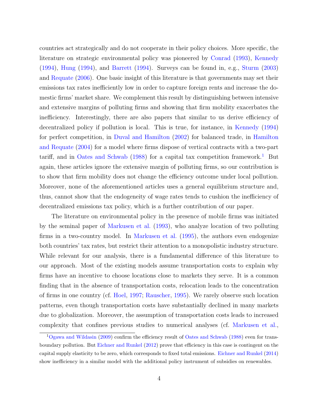countries act strategically and do not cooperate in their policy choices. More specific, the literature on strategic environmental policy was pioneered by [Conrad](#page-28-0) [\(1993\)](#page-28-0), [Kennedy](#page-30-1) [\(1994\)](#page-30-1), [Hung](#page-29-0) [\(1994\)](#page-29-0), and [Barrett](#page-28-1) [\(1994\)](#page-28-1). Surveys can be found in, e.g., [Sturm](#page-31-0) [\(2003\)](#page-31-0) and [Requate](#page-30-2) [\(2006\)](#page-30-2). One basic insight of this literature is that governments may set their emissions tax rates inefficiently low in order to capture foreign rents and increase the domestic firms' market share. We complement this result by distinguishing between intensive and extensive margins of polluting firms and showing that firm mobility exacerbates the inefficiency. Interestingly, there are also papers that similar to us derive efficiency of decentralized policy if pollution is local. This is true, for instance, in [Kennedy](#page-30-1) [\(1994\)](#page-30-1) for perfect competition, in [Duval and Hamilton](#page-29-1) [\(2002\)](#page-29-1) for balanced trade, in [Hamilton](#page-29-2) [and Requate](#page-29-2) [\(2004\)](#page-29-2) for a model where firms dispose of vertical contracts with a two-part tariff, and in [Oates and Schwab](#page-30-3) [\(1988\)](#page-30-3) for a capital tax competition framework.<sup>[1](#page-5-0)</sup> But again, these articles ignore the extensive margin of polluting firms, so our contribution is to show that firm mobility does not change the efficiency outcome under local pollution. Moreover, none of the aforementioned articles uses a general equilibrium structure and, thus, cannot show that the endogeneity of wage rates tends to cushion the inefficiency of decentralized emissions tax policy, which is a further contribution of our paper.

The literature on environmental policy in the presence of mobile firms was initiated by the seminal paper of [Markusen et al.](#page-30-4) [\(1993\)](#page-30-4), who analyze location of two polluting firms in a two-country model. In [Markusen et al.](#page-30-5) [\(1995\)](#page-30-5), the authors even endogenize both countries' tax rates, but restrict their attention to a monopolistic industry structure. While relevant for our analysis, there is a fundamental difference of this literature to our approach. Most of the existing models assume transportation costs to explain why firms have an incentive to choose locations close to markets they serve. It is a common finding that in the absence of transportation costs, relocation leads to the concentration of firms in one country (cf. [Hoel,](#page-29-3) [1997;](#page-29-3) [Rauscher,](#page-30-6) [1995\)](#page-30-6). We rarely observe such location patterns, even though transportation costs have substantially declined in many markets due to globalization. Moreover, the assumption of transportation costs leads to increased complexity that confines previous studies to numerical analyses (cf. [Markusen et al.,](#page-30-4)

<span id="page-5-0"></span><sup>1</sup>[Ogawa and Wildasin](#page-30-7) [\(2009\)](#page-30-7) confirm the efficiency result of [Oates and Schwab](#page-30-3) [\(1988\)](#page-30-3) even for transboundary pollution. But [Eichner and Runkel](#page-29-4) [\(2012\)](#page-29-4) prove that efficiency in this case is contingent on the capital supply elasticity to be zero, which corresponds to fixed total emissions. [Eichner and Runkel](#page-29-5) [\(2014\)](#page-29-5) show inefficiency in a similar model with the additional policy instrument of subsidies on renewables.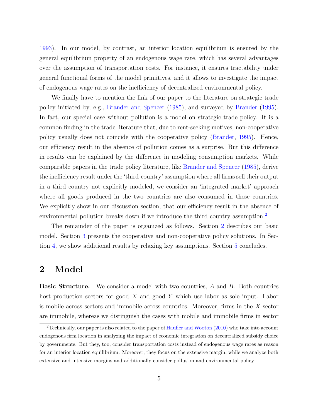[1993\)](#page-30-4). In our model, by contrast, an interior location equilibrium is ensured by the general equilibrium property of an endogenous wage rate, which has several advantages over the assumption of transportation costs. For instance, it ensures tractability under general functional forms of the model primitives, and it allows to investigate the impact of endogenous wage rates on the inefficiency of decentralized environmental policy.

We finally have to mention the link of our paper to the literature on strategic trade policy initiated by, e.g., [Brander and Spencer](#page-28-2) [\(1985\)](#page-28-2), and surveyed by [Brander](#page-28-3) [\(1995\)](#page-28-3). In fact, our special case without pollution is a model on strategic trade policy. It is a common finding in the trade literature that, due to rent-seeking motives, non-cooperative policy usually does not coincide with the cooperative policy [\(Brander,](#page-28-3) [1995\)](#page-28-3). Hence, our efficiency result in the absence of pollution comes as a surprise. But this difference in results can be explained by the difference in modeling consumption markets. While comparable papers in the trade policy literature, like [Brander and Spencer](#page-28-2) [\(1985\)](#page-28-2), derive the inefficiency result under the 'third-country' assumption where all firms sell their output in a third country not explicitly modeled, we consider an 'integrated market' approach where all goods produced in the two countries are also consumed in these countries. We explicitly show in our discussion section, that our efficiency result in the absence of environmental pollution breaks down if we introduce the third country assumption.<sup>[2](#page-6-0)</sup>

The remainder of the paper is organized as follows. Section [2](#page-6-1) describes our basic model. Section [3](#page-13-0) presents the cooperative and non-cooperative policy solutions. In Section [4,](#page-19-0) we show additional results by relaxing key assumptions. Section [5](#page-24-0) concludes.

#### <span id="page-6-1"></span>2 Model

**Basic Structure.** We consider a model with two countries, A and B. Both countries host production sectors for good X and good Y which use labor as sole input. Labor is mobile across sectors and immobile across countries. Moreover, firms in the X-sector are immobile, whereas we distinguish the cases with mobile and immobile firms in sector

<span id="page-6-0"></span><sup>&</sup>lt;sup>2</sup>Technically, our paper is also related to the paper of [Haufler and Wooton](#page-29-6)  $(2010)$  who take into account endogenous firm location in analyzing the impact of economic integration on decentralized subsidy choice by governments. But they, too, consider transportation costs instead of endogenous wage rates as reason for an interior location equilibrium. Moreover, they focus on the extensive margin, while we analyze both extensive and intensive margins and additionally consider pollution and environmental policy.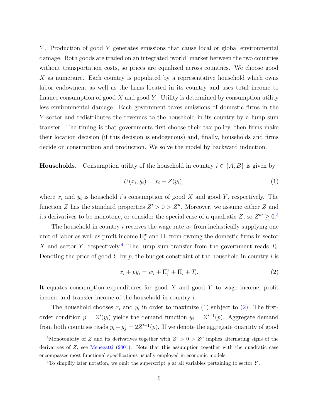Y. Production of good Y generates emissions that cause local or global environmental damage. Both goods are traded on an integrated 'world' market between the two countries without transportation costs, so prices are equalized across countries. We choose good X as numeraire. Each country is populated by a representative household which owns labor endowment as well as the firms located in its country and uses total income to finance consumption of good  $X$  and good  $Y$ . Utility is determined by consumption utility less environmental damage. Each government taxes emissions of domestic firms in the Y -sector and redistributes the revenues to the household in its country by a lump sum transfer. The timing is that governments first choose their tax policy, then firms make their location decision (if this decision is endogenous) and, finally, households and firms decide on consumption and production. We solve the model by backward induction.

**Households.** Consumption utility of the household in country  $i \in \{A, B\}$  is given by

<span id="page-7-2"></span>
$$
U(x_i, y_i) = x_i + Z(y_i),\tag{1}
$$

where  $x_i$  and  $y_i$  is household i's consumption of good X and good Y, respectively. The function Z has the standard properties  $Z' > 0 > Z''$ . Moreover, we assume either Z and its derivatives to be monotone, or consider the special case of a quadratic Z, so  $Z''' \geq 0.3$  $Z''' \geq 0.3$ 

The household in country  $i$  receives the wage rate  $w_i$  from inelastically supplying one unit of labor as well as profit income  $\Pi_i^x$  and  $\Pi_i$  from owning the domestic firms in sector X and sector Y, respectively.<sup>[4](#page-7-1)</sup> The lump sum transfer from the government reads  $T_i$ . Denoting the price of good Y by p, the budget constraint of the household in country  $i$  is

<span id="page-7-3"></span>
$$
x_i + py_i = w_i + \Pi_i^x + \Pi_i + T_i.
$$
 (2)

It equates consumption expenditures for good  $X$  and good  $Y$  to wage income, profit income and transfer income of the household in country i.

The household chooses  $x_i$  and  $y_i$  in order to maximize [\(1\)](#page-7-2) subject to [\(2\)](#page-7-3). The firstorder condition  $p = Z'(y_i)$  yields the demand function  $y_i = Z'^{-1}(p)$ . Aggregate demand from both countries reads  $y_i + y_j = 2Z'^{-1}(p)$ . If we denote the aggregate quantity of good

<span id="page-7-0"></span><sup>&</sup>lt;sup>3</sup>Monotonicity of Z and its derivatives together with  $Z' > 0 > Z''$  implies alternating signs of the derivatives of Z, see [Menegatti](#page-30-8) [\(2001\)](#page-30-8). Note that this assumption together with the quadratic case encompasses most functional specifications usually employed in economic models.

<span id="page-7-1"></span><sup>&</sup>lt;sup>4</sup>To simplify later notation, we omit the superscript y at all variables pertaining to sector Y.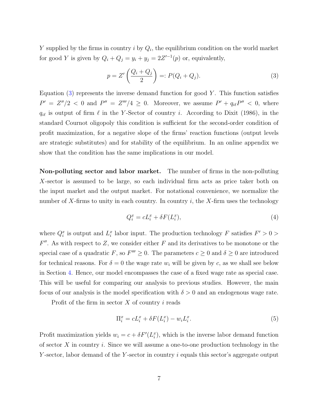Y supplied by the firms in country  $i$  by  $Q_i$ , the equilibrium condition on the world market for good Y is given by  $Q_i + Q_j = y_i + y_j = 2Z'^{-1}(p)$  or, equivalently,

<span id="page-8-0"></span>
$$
p = Z' \left( \frac{Q_i + Q_j}{2} \right) =: P(Q_i + Q_j). \tag{3}
$$

Equation  $(3)$  represents the inverse demand function for good Y. This function satisfies  $P' = Z''/2 < 0$  and  $P'' = Z'''/4 \geq 0$ . Moreover, we assume  $P' + q_{i\ell}P'' < 0$ , where  $q_{i\ell}$  is output of firm  $\ell$  in the Y-Sector of country i. According to Dixit (1986), in the standard Cournot oligopoly this condition is sufficient for the second-order condition of profit maximization, for a negative slope of the firms' reaction functions (output levels are strategic substitutes) and for stability of the equilibrium. In an online appendix we show that the condition has the same implications in our model.

Non-polluting sector and labor market. The number of firms in the non-polluting X-sector is assumed to be large, so each individual firm acts as price taker both on the input market and the output market. For notational convenience, we normalize the number of X-firms to unity in each country. In country i, the X-firm uses the technology

<span id="page-8-2"></span>
$$
Q_i^x = cL_i^x + \delta F(L_i^x),\tag{4}
$$

where  $Q_i^x$  is output and  $L_i^x$  labor input. The production technology F satisfies  $F' > 0$  $F''$ . As with respect to Z, we consider either F and its derivatives to be monotone or the special case of a quadratic F, so  $F''' \geq 0$ . The parameters  $c \geq 0$  and  $\delta \geq 0$  are introduced for technical reasons. For  $\delta = 0$  the wage rate  $w_i$  will be given by c, as we shall see below in Section [4.](#page-19-0) Hence, our model encompasses the case of a fixed wage rate as special case. This will be useful for comparing our analysis to previous studies. However, the main focus of our analysis is the model specification with  $\delta > 0$  and an endogenous wage rate.

Profit of the firm in sector  $X$  of country  $i$  reads

<span id="page-8-1"></span>
$$
\Pi_i^x = cL_i^x + \delta F(L_i^x) - w_i L_i^x. \tag{5}
$$

Profit maximization yields  $w_i = c + \delta F'(L_i^x)$ , which is the inverse labor demand function of sector  $X$  in country  $i$ . Since we will assume a one-to-one production technology in the Y-sector, labor demand of the Y-sector in country  $i$  equals this sector's aggregate output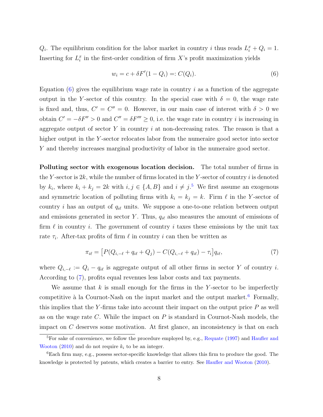$Q_i$ . The equilibrium condition for the labor market in country i thus reads  $L_i^x + Q_i = 1$ . Inserting for  $L_i^x$  in the first-order condition of firm X's profit maximization yields

<span id="page-9-0"></span>
$$
w_i = c + \delta F'(1 - Q_i) =: C(Q_i). \tag{6}
$$

Equation  $(6)$  gives the equilibrium wage rate in country i as a function of the aggregate output in the Y-sector of this country. In the special case with  $\delta = 0$ , the wage rate is fixed and, thus,  $C' = C'' = 0$ . However, in our main case of interest with  $\delta > 0$  we obtain  $C' = -\delta F'' > 0$  and  $C'' = \delta F''' \ge 0$ , i.e. the wage rate in country *i* is increasing in aggregate output of sector Y in country  $i$  at non-decreasing rates. The reason is that a higher output in the Y-sector relocates labor from the numeraire good sector into sector Y and thereby increases marginal productivity of labor in the numeraire good sector.

Polluting sector with exogenous location decision. The total number of firms in the Y-sector is  $2k$ , while the number of firms located in the Y-sector of country i is denoted by  $k_i$ , where  $k_i + k_j = 2k$  with  $i, j \in \{A, B\}$  and  $i \neq j$ .<sup>[5](#page-9-1)</sup> We first assume an exogenous and symmetric location of polluting firms with  $k_i = k_j = k$ . Firm  $\ell$  in the Y-sector of country i has an output of  $q_{i\ell}$  units. We suppose a one-to-one relation between output and emissions generated in sector Y. Thus,  $q_{i\ell}$  also measures the amount of emissions of firm  $\ell$  in country i. The government of country i taxes these emissions by the unit tax rate  $\tau_i$ . After-tax profits of firm  $\ell$  in country i can then be written as

<span id="page-9-2"></span>
$$
\pi_{i\ell} = [P(Q_{i,-\ell} + q_{i\ell} + Q_j) - C(Q_{i,-\ell} + q_{i\ell}) - \tau_i]q_{i\ell},\tag{7}
$$

where  $Q_{i,-\ell} := Q_i - q_{i\ell}$  is aggregate output of all other firms in sector Y of country i. According to [\(7\)](#page-9-2), profits equal revenues less labor costs and tax payments.

We assume that  $k$  is small enough for the firms in the Y-sector to be imperfectly competitive à la Cournot-Nash on the input market and the output market.<sup>[6](#page-9-3)</sup> Formally, this implies that the Y-firms take into account their impact on the output price  $P$  as well as on the wage rate C. While the impact on  $P$  is standard in Cournot-Nash models, the impact on  $C$  deserves some motivation. At first glance, an inconsistency is that on each

<span id="page-9-1"></span> ${}^{5}$ For sake of convenience, we follow the procedure employed by, e.g., [Requate](#page-30-9) [\(1997\)](#page-30-9) and [Haufler and](#page-29-6) [Wooton](#page-29-6) [\(2010\)](#page-29-6) and do not require  $k_i$  to be an integer.

<span id="page-9-3"></span><sup>6</sup>Each firm may, e.g., possess sector-specific knowledge that allows this firm to produce the good. The knowledge is protected by patents, which creates a barrier to entry. See [Haufler and Wooton](#page-29-6) [\(2010\)](#page-29-6).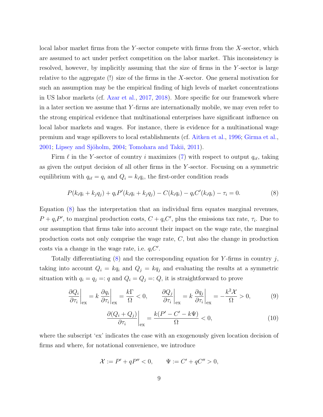local labor market firms from the Y-sector compete with firms from the  $X$ -sector, which are assumed to act under perfect competition on the labor market. This inconsistency is resolved, however, by implicitly assuming that the size of firms in the Y -sector is large relative to the aggregate (!) size of the firms in the X-sector. One general motivation for such an assumption may be the empirical finding of high levels of market concentrations in US labor markets (cf. [Azar et al.,](#page-28-4) [2017,](#page-28-4) [2018\)](#page-28-5). More specific for our framework where in a later section we assume that Y -firms are internationally mobile, we may even refer to the strong empirical evidence that multinational enterprises have significant influence on local labor markets and wages. For instance, there is evidence for a multinational wage premium and wage spillovers to local establishments (cf. [Aitken et al.,](#page-28-6) [1996;](#page-28-6) [Girma et al.,](#page-29-7) [2001;](#page-29-7) Lipsey and Sjöholm, [2004;](#page-30-10) [Tomohara and Takii,](#page-31-1) [2011\)](#page-31-1).

Firm  $\ell$  in the Y-sector of country i maximizes [\(7\)](#page-9-2) with respect to output  $q_{i\ell}$ , taking as given the output decision of all other firms in the Y -sector. Focusing on a symmetric equilibrium with  $q_{i\ell} = q_i$  and  $Q_i = k_i q_i$ , the first-order condition reads

<span id="page-10-0"></span>
$$
P(k_iq_i + k_jq_j) + q_i P'(k_iq_i + k_jq_j) - C(k_iq_i) - q_i C'(k_iq_i) - \tau_i = 0.
$$
\n(8)

Equation [\(8\)](#page-10-0) has the interpretation that an individual firm equates marginal revenues,  $P + q_i P'$ , to marginal production costs,  $C + q_i C'$ , plus the emissions tax rate,  $\tau_i$ . Due to our assumption that firms take into account their impact on the wage rate, the marginal production costs not only comprise the wage rate, C, but also the change in production costs via a change in the wage rate, i.e.  $q_iC'$ .

Totally differentiating  $(8)$  and the corresponding equation for Y-firms in country j, taking into account  $Q_i = kq_i$  and  $Q_j = kq_j$  and evaluating the results at a symmetric situation with  $q_i = q_j =: q$  and  $Q_i = Q_j =: Q$ , it is straightforward to prove

<span id="page-10-1"></span>
$$
\left. \frac{\partial Q_i}{\partial \tau_i} \right|_{\text{ex}} = k \left. \frac{\partial q_i}{\partial \tau_i} \right|_{\text{ex}} = \frac{k \Gamma}{\Omega} < 0, \qquad \left. \frac{\partial Q_j}{\partial \tau_i} \right|_{\text{ex}} = k \left. \frac{\partial q_j}{\partial \tau_i} \right|_{\text{ex}} = -\frac{k^2 \mathcal{X}}{\Omega} > 0,\tag{9}
$$

$$
\left. \frac{\partial (Q_i + Q_j)}{\partial \tau_i} \right|_{\text{ex}} = \frac{k(P' - C' - k\Psi)}{\Omega} < 0,\tag{10}
$$

where the subscript 'ex' indicates the case with an exogenously given location decision of firms and where, for notational convenience, we introduce

<span id="page-10-2"></span>
$$
\mathcal{X} := P' + qP'' < 0, \qquad \Psi := C' + qC'' > 0,
$$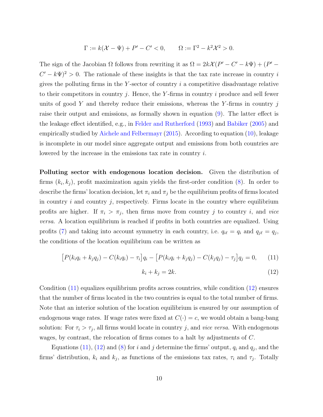$$
\Gamma := k(\mathcal{X} - \Psi) + P' - C' < 0, \qquad \Omega := \Gamma^2 - k^2 \mathcal{X}^2 > 0.
$$

The sign of the Jacobian  $\Omega$  follows from rewriting it as  $\Omega = 2k\mathcal{X}(P' - C' - k\Psi) + (P' C' - k\Psi$ <sup>2</sup> > 0. The rationale of these insights is that the tax rate increase in country i gives the polluting firms in the Y-sector of country  $i$  a competitive disadvantage relative to their competitors in country j. Hence, the Y-firms in country i produce and sell fewer units of good Y and thereby reduce their emissions, whereas the Y-firms in country  $j$ raise their output and emissions, as formally shown in equation [\(9\)](#page-10-1). The latter effect is the leakage effect identified, e.g., in [Felder and Rutherford](#page-29-8) [\(1993\)](#page-29-8) and [Babiker](#page-28-7) [\(2005\)](#page-28-7) and empirically studied by [Aichele and Felbermayr](#page-28-8) [\(2015\)](#page-28-8). According to equation [\(10\)](#page-10-1), leakage is incomplete in our model since aggregate output and emissions from both countries are lowered by the increase in the emissions tax rate in country i.

Polluting sector with endogenous location decision. Given the distribution of firms  $(k_i, k_j)$ , profit maximization again yields the first-order condition [\(8\)](#page-10-0). In order to describe the firms' location decision, let  $\pi_i$  and  $\pi_j$  be the equilibrium profits of firms located in country i and country j, respectively. Firms locate in the country where equilibrium profits are higher. If  $\pi_i > \pi_j$ , then firms move from country j to country i, and vice versa. A location equilibrium is reached if profits in both countries are equalized. Using profits [\(7\)](#page-9-2) and taking into account symmetry in each country, i.e.  $q_{i\ell} = q_i$  and  $q_{j\ell} = q_j$ , the conditions of the location equilibrium can be written as

$$
[P(k_iq_i + k_jq_j) - C(k_iq_i) - \tau_i]q_i - [P(k_iq_i + k_jq_j) - C(k_jq_j) - \tau_j]q_j = 0, \quad (11)
$$

$$
k_i + k_j = 2k.\t\t(12)
$$

Condition [\(11\)](#page-10-2) equalizes equilibrium profits across countries, while condition [\(12\)](#page-10-2) ensures that the number of firms located in the two countries is equal to the total number of firms. Note that an interior solution of the location equilibrium is ensured by our assumption of endogenous wage rates. If wage rates were fixed at  $C(\cdot) = c$ , we would obtain a bang-bang solution: For  $\tau_i > \tau_j$ , all firms would locate in country j, and *vice versa*. With endogenous wages, by contrast, the relocation of firms comes to a halt by adjustments of C.

Equations [\(11\)](#page-10-2), [\(12\)](#page-10-2) and [\(8\)](#page-10-0) for i and j determine the firms' output,  $q_i$  and  $q_j$ , and the firms' distribution,  $k_i$  and  $k_j$ , as functions of the emissions tax rates,  $\tau_i$  and  $\tau_j$ . Totally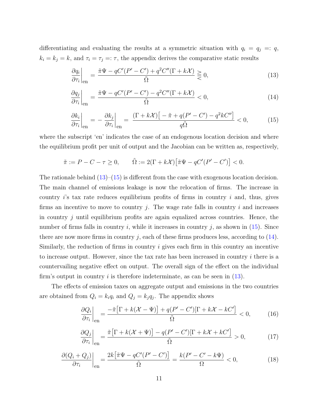differentiating and evaluating the results at a symmetric situation with  $q_i = q_j =: q$ ,  $k_i = k_j = k$ , and  $\tau_i = \tau_j =: \tau$ , the appendix derives the comparative static results

<span id="page-12-0"></span>
$$
\left. \frac{\partial q_i}{\partial \tau_i} \right|_{\text{en}} = \frac{\tilde{\pi} \Psi - qC'(P' - C') + q^2 C''(\Gamma + k\mathcal{X})}{\tilde{\Omega}} \geq 0,
$$
\n(13)

$$
\left. \frac{\partial q_j}{\partial \tau_i} \right|_{\text{en}} = \frac{\tilde{\pi} \Psi - qC'(P' - C') - q^2 C''(\Gamma + k\mathcal{X})}{\tilde{\Omega}} < 0,\tag{14}
$$

$$
\left. \frac{\partial k_i}{\partial \tau_i} \right|_{\text{en}} = -\left. \frac{\partial k_j}{\partial \tau_i} \right|_{\text{en}} = \left. \frac{(\Gamma + k\mathcal{X}) \left[ -\tilde{\pi} + q(P' - C') - q^2 k C'' \right]}{q\tilde{\Omega}} < 0, \tag{15}
$$

where the subscript 'en' indicates the case of an endogenous location decision and where the equilibrium profit per unit of output and the Jacobian can be written as, respectively,

<span id="page-12-1"></span>
$$
\tilde{\pi} := P - C - \tau \ge 0, \qquad \tilde{\Omega} := 2(\Gamma + k\mathcal{X}) \big[ \tilde{\pi} \Psi - qC'(P' - C') \big] < 0.
$$

The rationale behind  $(13)$ – $(15)$  is different from the case with exogenous location decision. The main channel of emissions leakage is now the relocation of firms. The increase in country i's tax rate reduces equilibrium profits of firms in country i and, thus, gives firms an incentive to move to country j. The wage rate falls in country  $i$  and increases in country  $j$  until equilibrium profits are again equalized across countries. Hence, the number of firms falls in country i, while it increases in country j, as shown in  $(15)$ . Since there are now more firms in country j, each of these firms produces less, according to  $(14)$ . Similarly, the reduction of firms in country i gives each firm in this country an incentive to increase output. However, since the tax rate has been increased in country i there is a countervailing negative effect on output. The overall sign of the effect on the individual firm's output in country i is therefore indeterminate, as can be seen in  $(13)$ .

The effects of emission taxes on aggregate output and emissions in the two countries are obtained from  $Q_i = k_i q_i$  and  $Q_j = k_j q_j$ . The appendix shows

$$
\left. \frac{\partial Q_i}{\partial \tau_i} \right|_{\text{en}} = \frac{-\tilde{\pi} \left[ \Gamma + k(\mathcal{X} - \Psi) \right] + q(P' - C') [\Gamma + k\mathcal{X} - kC']}{\tilde{\Omega}} < 0,\tag{16}
$$

$$
\frac{\partial Q_j}{\partial \tau_i}\bigg|_{\text{en}} = \frac{\tilde{\pi} \left[ \Gamma + k(\mathcal{X} + \Psi) \right] - q(P' - C')[\Gamma + k\mathcal{X} + kC']}{\tilde{\Omega}} > 0, \tag{17}
$$

$$
\frac{\partial (Q_i + Q_j)}{\partial \tau_i}\bigg|_{\text{en}} = \frac{2k\big[\tilde{\pi}\Psi - qC'(P' - C')\big]}{\tilde{\Omega}} = \frac{k(P' - C' - k\Psi)}{\Omega} < 0,\tag{18}
$$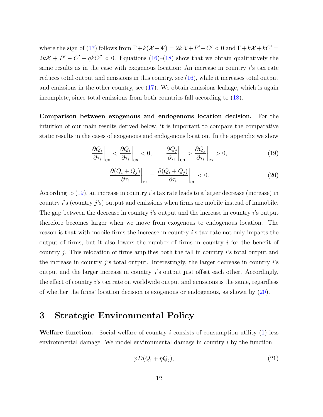where the sign of [\(17\)](#page-12-1) follows from  $\Gamma + k(\mathcal{X} + \Psi) = 2k\mathcal{X} + P' - C' < 0$  and  $\Gamma + k\mathcal{X} + kC' = 0$  $2kX + P' - C' - qkC'' < 0$ . Equations [\(16\)](#page-12-1)–[\(18\)](#page-12-1) show that we obtain qualitatively the same results as in the case with exogenous location: An increase in country  $i$ 's tax rate reduces total output and emissions in this country, see [\(16\)](#page-12-1), while it increases total output and emissions in the other country, see [\(17\)](#page-12-1). We obtain emissions leakage, which is again incomplete, since total emissions from both countries fall according to [\(18\)](#page-12-1).

Comparison between exogenous and endogenous location decision. For the intuition of our main results derived below, it is important to compare the comparative static results in the cases of exogenous and endogenous location. In the appendix we show

<span id="page-13-1"></span>
$$
\left. \frac{\partial Q_i}{\partial \tau_i} \right|_{\text{en}} < \left. \frac{\partial Q_i}{\partial \tau_i} \right|_{\text{ex}} < 0, \qquad \left. \frac{\partial Q_j}{\partial \tau_i} \right|_{\text{en}} > \left. \frac{\partial Q_j}{\partial \tau_i} \right|_{\text{ex}} > 0,\tag{19}
$$

$$
\left. \frac{\partial (Q_i + Q_j)}{\partial \tau_i} \right|_{\text{ex}} = \left. \frac{\partial (Q_i + Q_j)}{\partial \tau_i} \right|_{\text{en}} < 0. \tag{20}
$$

According to [\(19\)](#page-13-1), an increase in country i's tax rate leads to a larger decrease (increase) in country  $i$ 's (country  $j$ 's) output and emissions when firms are mobile instead of immobile. The gap between the decrease in country  $i$ 's output and the increase in country  $i$ 's output therefore becomes larger when we move from exogenous to endogenous location. The reason is that with mobile firms the increase in country i's tax rate not only impacts the output of firms, but it also lowers the number of firms in country  $i$  for the benefit of country *i*. This relocation of firms amplifies both the fall in country *i*'s total output and the increase in country j's total output. Interestingly, the larger decrease in country  $i$ 's output and the larger increase in country  $j$ 's output just offset each other. Accordingly, the effect of country i's tax rate on worldwide output and emissions is the same, regardless of whether the firms' location decision is exogenous or endogenous, as shown by [\(20\)](#page-13-1).

#### <span id="page-13-0"></span>3 Strategic Environmental Policy

**Welfare function.** Social welfare of country i consists of consumption utility  $(1)$  less environmental damage. We model environmental damage in country i by the function

<span id="page-13-2"></span>
$$
\varphi D(Q_i + \eta Q_j),\tag{21}
$$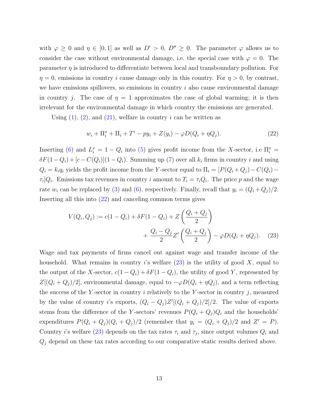with  $\varphi \geq 0$  and  $\eta \in [0,1]$  as well as  $D' > 0$ ,  $D'' \geq 0$ . The parameter  $\varphi$  allows us to consider the case without environmental damage, i.e. the special case with  $\varphi = 0$ . The parameter  $\eta$  is introduced to differentiate between local and transboundary pollution. For  $\eta = 0$ , emissions in country *i* cause damage only in this country. For  $\eta > 0$ , by contrast, we have emissions spillovers, so emissions in country  $i$  also cause environmental damage in country j. The case of  $\eta = 1$  approximates the case of global warming; it is then irrelevant for the environmental damage in which country the emissions are generated.

Using  $(1)$ ,  $(2)$ , and  $(21)$ , welfare in country i can be written as

<span id="page-14-0"></span>
$$
w_i + \Pi_i^x + \Pi_i + T^i - py_i + Z(y_i) - \varphi D(Q_i + \eta Q_j). \tag{22}
$$

Inserting [\(6\)](#page-9-0) and  $L_i^x = 1 - Q_i$  into [\(5\)](#page-8-1) gives profit income from the X-sector, i.e  $\Pi_i^x =$  $\delta F(1-Q_i) + [c-C(Q_i)](1-Q_i)$ . Summing up [\(7\)](#page-9-2) over all  $k_i$  firms in country i and using  $Q_i = k_i q_i$  yields the profit income from the Y-sector equal to  $\Pi_i = [P(Q_i + Q_j) - C(Q_i) \tau_i | Q_i$ . Emissions tax revenues in country i amount to  $T_i = \tau_i Q_i$ . The price p and the wage rate  $w_i$  can be replaced by [\(3\)](#page-8-0) and [\(6\)](#page-9-0), respectively. Finally, recall that  $y_i = (Q_i + Q_j)/2$ . Inserting all this into [\(22\)](#page-14-0) and canceling common terms gives

<span id="page-14-1"></span>
$$
V(Q_i, Q_j) := c(1 - Q_i) + \delta F(1 - Q_i) + Z\left(\frac{Q_i + Q_j}{2}\right) + \frac{Q_i - Q_j}{2}Z'\left(\frac{Q_i + Q_j}{2}\right) - \varphi D(Q_i + \eta Q_j).
$$
 (23)

Wage and tax payments of firms cancel out against wage and transfer income of the household. What remains in country i's welfare  $(23)$  is the utility of good X, equal to the output of the X-sector,  $c(1 - Q_i) + \delta F(1 - Q_i)$ , the utility of good Y, represented by  $Z[(Q_i+Q_j)/2]$ , environmental damage, equal to  $-\varphi D(Q_i+\eta Q_j)$ , and a term reflecting the success of the Y-sector in country  $i$  relatively to the Y-sector in country  $j$ , measured by the value of country i's exports,  $(Q_i - Q_j)Z'[(Q_i + Q_j)/2]/2$ . The value of exports stems from the difference of the Y-sectors' revenues  $P(Q_i + Q_j)Q_i$  and the households' expenditures  $P(Q_i + Q_j)(Q_i + Q_j)/2$  (remember that  $y_i = (Q_i + Q_j)/2$  and  $Z' = P$ ). Country *i*'s welfare [\(23\)](#page-14-1) depends on the tax rates  $\tau_i$  and  $\tau_j$ , since output volumes  $Q_i$  and  $Q_j$  depend on these tax rates according to our comparative static results derived above.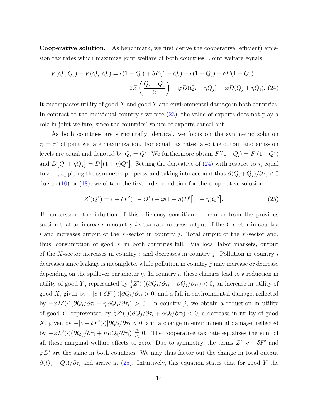Cooperative solution. As benchmark, we first derive the cooperative (efficient) emission tax rates which maximize joint welfare of both countries. Joint welfare equals

<span id="page-15-0"></span>
$$
V(Q_i, Q_j) + V(Q_j, Q_i) = c(1 - Q_i) + \delta F(1 - Q_i) + c(1 - Q_j) + \delta F(1 - Q_j)
$$
  
+ 2Z  $\left(\frac{Q_i + Q_j}{2}\right) - \varphi D(Q_i + \eta Q_j) - \varphi D(Q_j + \eta Q_i).$  (24)

It encompasses utility of good  $X$  and good  $Y$  and environmental damage in both countries. In contrast to the individual country's welfare [\(23\)](#page-14-1), the value of exports does not play a role in joint welfare, since the countries' values of exports cancel out.

As both countries are structurally identical, we focus on the symmetric solution  $\tau_i = \tau^*$  of joint welfare maximization. For equal tax rates, also the output and emission levels are equal and denoted by  $Q_i = Q^*$ . We furthermore obtain  $F'(1 - Q_i) = F'(1 - Q^*)$ and  $D[Q_i + \eta Q_j] = D[(1 + \eta)Q^*]$ . Setting the derivative of [\(24\)](#page-15-0) with respect to  $\tau_i$  equal to zero, applying the symmetry property and taking into account that  $\partial (Q_i + Q_j)/\partial \tau_i < 0$ due to [\(10\)](#page-10-1) or [\(18\)](#page-12-1), we obtain the first-order condition for the cooperative solution

<span id="page-15-1"></span>
$$
Z'(Q^*) = c + \delta F'(1 - Q^*) + \varphi(1 + \eta)D'\big[(1 + \eta)Q^*\big].\tag{25}
$$

To understand the intuition of this efficiency condition, remember from the previous section that an increase in country  $i$ 's tax rate reduces output of the Y-sector in country i and increases output of the Y-sector in country j. Total output of the Y-sector and, thus, consumption of good Y in both countries fall. Via local labor markets, output of the X-sector increases in country i and decreases in country j. Pollution in country i decreases since leakage is incomplete, while pollution in country j may increase or decrease depending on the spillover parameter  $\eta$ . In country i, these changes lead to a reduction in utility of good Y, represented by  $\frac{1}{2}Z'(\cdot)(\partial Q_i/\partial \tau_i + \partial Q_j/\partial \tau_i) < 0$ , an increase in utility of good X, given by  $-[c+\delta F'(\cdot)]\partial Q_i/\partial \tau_i > 0$ , and a fall in environmental damage, reflected by  $-\varphi D'(\cdot)(\partial Q_i/\partial \tau_i + \eta \partial Q_j/\partial \tau_i) > 0$ . In country j, we obtain a reduction in utility of good Y, represented by  $\frac{1}{2}Z'(\cdot)(\partial Q_j/\partial \tau_i + \partial Q_i/\partial \tau_i) < 0$ , a decrease in utility of good X, given by  $-[c + \delta F'(·)]\partial Q_j/\partial \tau_i < 0$ , and a change in environmental damage, reflected by  $-\varphi D'(\cdot)(\partial Q_j/\partial \tau_i + \eta \partial Q_i/\partial \tau_i) \geq 0$ . The cooperative tax rate equalizes the sum of all these marginal welfare effects to zero. Due to symmetry, the terms  $Z'$ ,  $c + \delta F'$  and  $\varphi D'$  are the same in both countries. We may thus factor out the change in total output  $\partial (Q_i + Q_j)/\partial \tau_i$  and arrive at [\(25\)](#page-15-1). Intuitively, this equation states that for good Y the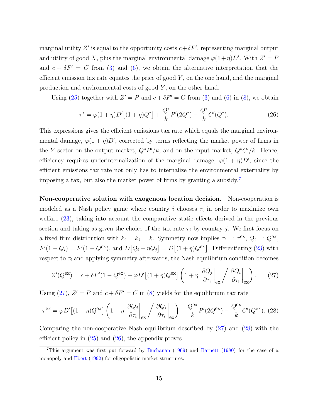marginal utility Z' is equal to the opportunity costs  $c + \delta F'$ , representing marginal output and utility of good X, plus the marginal environmental damage  $\varphi(1+\eta)D'$ . With  $Z' = P$ and  $c + \delta F' = C$  from [\(3\)](#page-8-0) and [\(6\)](#page-9-0), we obtain the alternative interpretation that the efficient emission tax rate equates the price of good  $Y$ , on the one hand, and the marginal production and environmental costs of good Y , on the other hand.

Using [\(25\)](#page-15-1) together with  $Z' = P$  and  $c + \delta F' = C$  from [\(3\)](#page-8-0) and [\(6\)](#page-9-0) in [\(8\)](#page-10-0), we obtain

<span id="page-16-3"></span>
$$
\tau^* = \varphi(1+\eta)D'\left[(1+\eta)Q^*\right] + \frac{Q^*}{k}P'(2Q^*) - \frac{Q^*}{k}C'(Q^*).
$$
\n(26)

This expressions gives the efficient emissions tax rate which equals the marginal environmental damage,  $\varphi(1+\eta)D'$ , corrected by terms reflecting the market power of firms in the Y-sector on the output market,  $Q^*P'/k$ , and on the input market,  $Q^*C'/k$ . Hence, efficiency requires underinternalization of the marginal damage,  $\varphi(1 + \eta)D'$ , since the efficient emissions tax rate not only has to internalize the environmental externality by imposing a tax, but also the market power of firms by granting a subsidy.[7](#page-16-0)

Non-cooperative solution with exogenous location decision. Non-cooperation is modeled as a Nash policy game where country i chooses  $\tau_i$  in order to maximize own welfare [\(23\)](#page-14-1), taking into account the comparative static effects derived in the previous section and taking as given the choice of the tax rate  $\tau_i$  by country j. We first focus on a fixed firm distribution with  $k_i = k_j = k$ . Symmetry now implies  $\tau_i =: \tau^{\text{ex}}, Q_i =: Q^{\text{ex}},$  $F'(1 - Q_i) = F'(1 - Q^{\text{ex}})$ , and  $D[Q_i + \eta Q_j] = D[(1 + \eta)Q^{\text{ex}}]$ . Differentiating [\(23\)](#page-14-1) with respect to  $\tau_i$  and applying symmetry afterwards, the Nash equilibrium condition becomes

<span id="page-16-1"></span>
$$
Z'(Q^{\text{ex}}) = c + \delta F'(1 - Q^{\text{ex}}) + \varphi D' \left[ (1 + \eta) Q^{\text{ex}} \right] \left( 1 + \eta \left. \frac{\partial Q_j}{\partial \tau_i} \right|_{\text{ex}} / \left. \frac{\partial Q_i}{\partial \tau_i} \right|_{\text{ex}} \right). \tag{27}
$$

Using [\(27\)](#page-16-1),  $Z' = P$  and  $c + \delta F' = C$  in [\(8\)](#page-10-0) yields for the equilibrium tax rate

<span id="page-16-2"></span>
$$
\tau^{\text{ex}} = \varphi D' \left[ (1 + \eta) Q^{\text{ex}} \right] \left( 1 + \eta \left. \frac{\partial Q_j}{\partial \tau_i} \right|_{\text{ex}} \right) \left. \frac{\partial Q_i}{\partial \tau_i} \right|_{\text{ex}} \right) + \frac{Q^{\text{ex}}}{k} P'(2Q^{\text{ex}}) - \frac{Q^{\text{ex}}}{k} C'(Q^{\text{ex}}). \tag{28}
$$

Comparing the non-cooperative Nash equilibrium described by [\(27\)](#page-16-1) and [\(28\)](#page-16-2) with the efficient policy in  $(25)$  and  $(26)$ , the appendix proves

<span id="page-16-0"></span><sup>&</sup>lt;sup>7</sup>This argument was first put forward by [Buchanan](#page-28-9) [\(1969\)](#page-28-9) and [Barnett](#page-28-10) [\(1980\)](#page-28-10) for the case of a monopoly and [Ebert](#page-29-9) [\(1992\)](#page-29-9) for oligopolistic market structures.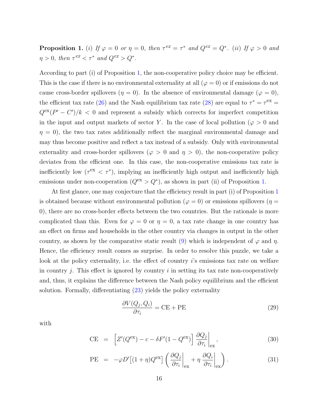<span id="page-17-0"></span>**Proposition 1.** (i) If  $\varphi = 0$  or  $\eta = 0$ , then  $\tau^{ex} = \tau^*$  and  $Q^{ex} = Q^*$ . (ii) If  $\varphi > 0$  and  $\eta > 0$ , then  $\tau^{ex} < \tau^*$  and  $Q^{ex} > Q^*$ .

According to part (i) of Proposition [1,](#page-17-0) the non-cooperative policy choice may be efficient. This is the case if there is no environmental externality at all  $(\varphi = 0)$  or if emissions do not cause cross-border spillovers ( $\eta = 0$ ). In the absence of environmental damage ( $\varphi = 0$ ), the efficient tax rate [\(26\)](#page-16-3) and the Nash equilibrium tax rate [\(28\)](#page-16-2) are equal to  $\tau^* = \tau^{\text{ex}} =$  $Q^{\text{ex}}(P'-C')/k < 0$  and represent a subsidy which corrects for imperfect competition in the input and output markets of sector Y. In the case of local pollution ( $\varphi > 0$  and  $\eta = 0$ , the two tax rates additionally reflect the marginal environmental damage and may thus become positive and reflect a tax instead of a subsidy. Only with environmental externality and cross-border spillovers ( $\varphi > 0$  and  $\eta > 0$ ), the non-cooperative policy deviates from the efficient one. In this case, the non-cooperative emissions tax rate is inefficiently low ( $\tau^{\text{ex}} < \tau^*$ ), implying an inefficiently high output and inefficiently high emissions under non-cooperation  $(Q<sup>ex</sup> > Q<sup>*</sup>)$ , as shown in part (ii) of Proposition [1.](#page-17-0)

At first glance, one may conjecture that the efficiency result in part (i) of Proposition [1](#page-17-0) is obtained because without environmental pollution ( $\varphi = 0$ ) or emissions spillovers ( $\eta =$ 0), there are no cross-border effects between the two countries. But the rationale is more complicated than this. Even for  $\varphi = 0$  or  $\eta = 0$ , a tax rate change in one country has an effect on firms and households in the other country via changes in output in the other country, as shown by the comparative static result [\(9\)](#page-10-1) which is independent of  $\varphi$  and  $\eta$ . Hence, the efficiency result comes as surprise. In order to resolve this puzzle, we take a look at the policy externality, i.e. the effect of country is emissions tax rate on welfare in country  $j$ . This effect is ignored by country  $i$  in setting its tax rate non-cooperatively and, thus, it explains the difference between the Nash policy equilibrium and the efficient solution. Formally, differentiating [\(23\)](#page-14-1) yields the policy externality

<span id="page-17-2"></span>
$$
\frac{\partial V(Q_j, Q_i)}{\partial \tau_i} = \text{CE} + \text{PE}
$$
\n(29)

with

<span id="page-17-1"></span>
$$
CE = \left[ Z'(Q^{ex}) - c - \delta F'(1 - Q^{ex}) \right] \frac{\partial Q_j}{\partial \tau_i} \bigg|_{\text{ex}}, \tag{30}
$$

PE = 
$$
-\varphi D'[(1+\eta)Q^{\text{ex}}]\left(\frac{\partial Q_j}{\partial \tau_i}\bigg|_{\text{ex}} + \eta \frac{\partial Q_i}{\partial \tau_i}\bigg|_{\text{ex}}\right).
$$
 (31)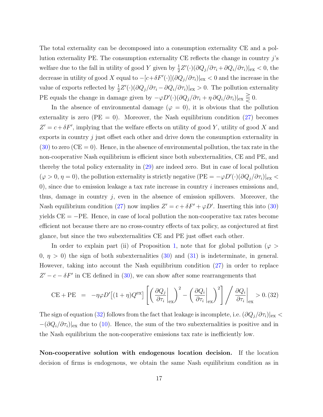The total externality can be decomposed into a consumption externality CE and a pollution externality PE. The consumption externality CE reflects the change in country  $j$ 's welfare due to the fall in utility of good Y given by  $\frac{1}{2}Z'(\cdot)(\partial Q_j/\partial \tau_i + \partial Q_i/\partial \tau_i)|_{\text{ex}} < 0$ , the decrease in utility of good X equal to  $-[c+\delta F'(\cdot)](\partial Q_j/\partial \tau_i)|_{\rm ex} < 0$  and the increase in the value of exports reflected by  $\frac{1}{2}Z'(\cdot)(\partial Q_j/\partial \tau_i - \partial Q_i/\partial \tau_i)|_{\text{ex}} > 0$ . The pollution externality PE equals the change in damage given by  $-\varphi D'(\cdot)(\partial Q_j/\partial \tau_i + \eta \partial Q_i/\partial \tau_i)|_{\text{ex}} \geq 0.$ 

In the absence of environmental damage ( $\varphi = 0$ ), it is obvious that the pollution externality is zero  $(PE = 0)$ . Moreover, the Nash equilibrium condition  $(27)$  becomes  $Z' = c + \delta F'$ , implying that the welfare effects on utility of good Y, utility of good X and exports in country  $j$  just offset each other and drive down the consumption externality in  $(30)$  to zero (CE = 0). Hence, in the absence of environmental pollution, the tax rate in the non-cooperative Nash equilibrium is efficient since both subexternalities, CE and PE, and thereby the total policy externality in [\(29\)](#page-17-2) are indeed zero. But in case of local pollution  $(\varphi > 0, \eta = 0)$ , the pollution externality is strictly negative  $(PE = -\varphi D'(\cdot)(\partial Q_j/\partial \tau_i)|_{\text{ex}} <$ 0), since due to emission leakage a tax rate increase in country  $i$  increases emissions and, thus, damage in country  $j$ , even in the absence of emission spillovers. Moreover, the Nash equilibrium condition [\(27\)](#page-16-1) now implies  $Z' = c + \delta F' + \varphi D'$ . Inserting this into [\(30\)](#page-17-1) yields  $CE = -PE$ . Hence, in case of local pollution the non-cooperative tax rates become efficient not because there are no cross-country effects of tax policy, as conjectured at first glance, but since the two subexternalities CE and PE just offset each other.

In order to explain part (ii) of Proposition [1,](#page-17-0) note that for global pollution ( $\varphi >$  $0, \eta > 0$ ) the sign of both subexternalities  $(30)$  and  $(31)$  is indeterminate, in general. However, taking into account the Nash equilibrium condition [\(27\)](#page-16-1) in order to replace  $Z' - c - \delta F'$  in CE defined in [\(30\)](#page-17-1), we can show after some rearrangements that

<span id="page-18-0"></span>
$$
CE + PE = -\eta \varphi D' \left[ (1 + \eta) Q^{ex} \right] \left[ \left( \frac{\partial Q_j}{\partial \tau_i} \bigg|_{ex} \right)^2 - \left( \frac{\partial Q_i}{\partial \tau_i} \bigg|_{ex} \right)^2 \right] / \left. \frac{\partial Q_i}{\partial \tau_i} \bigg|_{ex} > 0. (32)
$$

The sign of equation [\(32\)](#page-18-0) follows from the fact that leakage is incomplete, i.e.  $(\partial Q_j/\partial \tau_i)|_{\rm ex}$  $-(\partial Q_i/\partial \tau_i)|_{\text{ex}}$  due to [\(10\)](#page-10-1). Hence, the sum of the two subexternalities is positive and in the Nash equilibrium the non-cooperative emissions tax rate is inefficiently low.

Non-cooperative solution with endogenous location decision. If the location decision of firms is endogenous, we obtain the same Nash equilibrium condition as in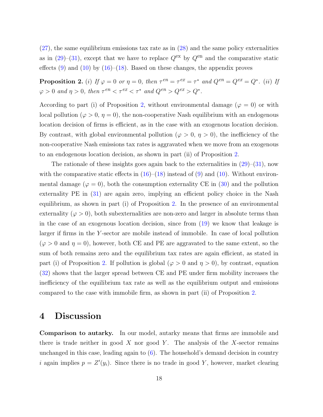$(27)$ , the same equilibrium emissions tax rate as in  $(28)$  and the same policy externalities as in  $(29)-(31)$  $(29)-(31)$ , except that we have to replace  $Q^{\text{ex}}$  by  $Q^{\text{en}}$  and the comparative static effects  $(9)$  and  $(10)$  by  $(16)$ – $(18)$ . Based on these changes, the appendix proves

<span id="page-19-1"></span>**Proposition 2.** (i) If  $\varphi = 0$  or  $\eta = 0$ , then  $\tau^{en} = \tau^{ex} = \tau^*$  and  $Q^{en} = Q^{ex} = Q^*$ . (ii) If  $\varphi > 0$  and  $\eta > 0$ , then  $\tau^{en} < \tau^{ex} < \tau^*$  and  $Q^{en} > Q^{ex} > Q^*$ .

According to part (i) of Proposition [2,](#page-19-1) without environmental damage ( $\varphi = 0$ ) or with local pollution ( $\varphi > 0$ ,  $\eta = 0$ ), the non-cooperative Nash equilibrium with an endogenous location decision of firms is efficient, as in the case with an exogenous location decision. By contrast, with global environmental pollution ( $\varphi > 0$ ,  $\eta > 0$ ), the inefficiency of the non-cooperative Nash emissions tax rates is aggravated when we move from an exogenous to an endogenous location decision, as shown in part (ii) of Proposition [2.](#page-19-1)

The rationale of these insights goes again back to the externalities in  $(29)$ – $(31)$ , now with the comparative static effects in  $(16)$ – $(18)$  instead of  $(9)$  and  $(10)$ . Without environmental damage ( $\varphi = 0$ ), both the consumption externality CE in [\(30\)](#page-17-1) and the pollution externality PE in  $(31)$  are again zero, implying an efficient policy choice in the Nash equilibrium, as shown in part (i) of Proposition [2.](#page-19-1) In the presence of an environmental externality ( $\varphi > 0$ ), both subexternalities are non-zero and larger in absolute terms than in the case of an exogenous location decision, since from [\(19\)](#page-13-1) we know that leakage is larger if firms in the Y -sector are mobile instead of immobile. In case of local pollution  $(\varphi > 0 \text{ and } \eta = 0)$ , however, both CE and PE are aggravated to the same extent, so the sum of both remains zero and the equilibrium tax rates are again efficient, as stated in part (i) of Proposition [2.](#page-19-1) If pollution is global ( $\varphi > 0$  and  $\eta > 0$ ), by contrast, equation [\(32\)](#page-18-0) shows that the larger spread between CE and PE under firm mobility increases the inefficiency of the equilibrium tax rate as well as the equilibrium output and emissions compared to the case with immobile firm, as shown in part (ii) of Proposition [2.](#page-19-1)

#### <span id="page-19-0"></span>4 Discussion

Comparison to autarky. In our model, autarky means that firms are immobile and there is trade neither in good X nor good Y. The analysis of the X-sector remains unchanged in this case, leading again to [\(6\)](#page-9-0). The household's demand decision in country i again implies  $p = Z'(y_i)$ . Since there is no trade in good Y, however, market clearing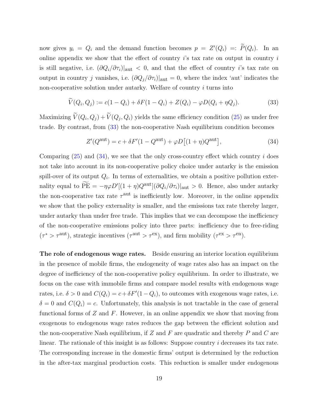now gives  $y_i = Q_i$  and the demand function becomes  $p = Z'(Q_i) =: \tilde{P}(Q_i)$ . In an online appendix we show that the effect of country  $i$ 's tax rate on output in country  $i$ is still negative, i.e.  $(\partial Q_i/\partial \tau_i)|_{\text{aut}} < 0$ , and that the effect of country i's tax rate on output in country j vanishes, i.e.  $(\partial Q_j/\partial \tau_i)|_{\text{aut}} = 0$ , where the index 'aut' indicates the non-cooperative solution under autarky. Welfare of country i turns into

<span id="page-20-0"></span>
$$
\widetilde{V}(Q_i, Q_j) := c(1 - Q_i) + \delta F(1 - Q_i) + Z(Q_i) - \varphi D(Q_i + \eta Q_j). \tag{33}
$$

Maximizing  $V(Q_i, Q_j) + V(Q_j, Q_i)$  yields the same efficiency condition [\(25\)](#page-15-1) as under free trade. By contrast, from [\(33\)](#page-20-0) the non-cooperative Nash equilibrium condition becomes

<span id="page-20-1"></span>
$$
Z'(Q^{\text{aut}}) = c + \delta F'(1 - Q^{\text{aut}}) + \varphi D\left[(1 + \eta)Q^{\text{aut}}\right],\tag{34}
$$

Comparing  $(25)$  and  $(34)$ , we see that the only cross-country effect which country i does not take into account in its non-cooperative policy choice under autarky is the emission spill-over of its output  $Q_i$ . In terms of externalities, we obtain a positive pollution externality equal to  $\widetilde{PE} = -\eta \varphi D'[(1 + \eta)Q^{\text{aut}}](\partial Q_i/\partial \tau_i)|_{\text{aut}} > 0$ . Hence, also under autarky the non-cooperative tax rate  $\tau^{\text{aut}}$  is inefficiently low. Moreover, in the online appendix we show that the policy externality is smaller, and the emissions tax rate thereby larger, under autarky than under free trade. This implies that we can decompose the inefficiency of the non-cooperative emissions policy into three parts: inefficiency due to free-riding  $(\tau^* > \tau^{\text{aut}})$ , strategic incentives  $(\tau^{\text{aut}} > \tau^{\text{ex}})$ , and firm mobility  $(\tau^{\text{ex}} > \tau^{\text{en}})$ .

The role of endogenous wage rates. Beside ensuring an interior location equilibrium in the presence of mobile firms, the endogeneity of wage rates also has an impact on the degree of inefficiency of the non-cooperative policy equilibrium. In order to illustrate, we focus on the case with immobile firms and compare model results with endogenous wage rates, i.e.  $\delta > 0$  and  $C(Q_i) = c + \delta F'(1 - Q_i)$ , to outcomes with exogenous wage rates, i.e.  $\delta = 0$  and  $C(Q_i) = c$ . Unfortunately, this analysis is not tractable in the case of general functional forms of  $Z$  and  $F$ . However, in an online appendix we show that moving from exogenous to endogenous wage rates reduces the gap between the efficient solution and the non-cooperative Nash equilibrium, if Z and F are quadratic and thereby P and C are linear. The rationale of this insight is as follows: Suppose country *i* decreases its tax rate. The corresponding increase in the domestic firms' output is determined by the reduction in the after-tax marginal production costs. This reduction is smaller under endogenous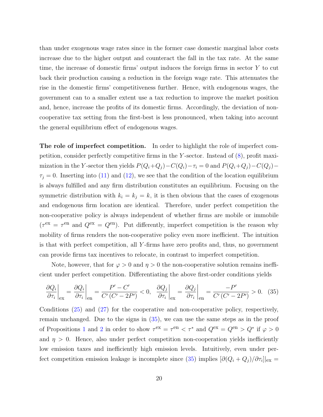than under exogenous wage rates since in the former case domestic marginal labor costs increase due to the higher output and counteract the fall in the tax rate. At the same time, the increase of domestic firms' output induces the foreign firms in sector Y to cut back their production causing a reduction in the foreign wage rate. This attenuates the rise in the domestic firms' competitiveness further. Hence, with endogenous wages, the government can to a smaller extent use a tax reduction to improve the market position and, hence, increase the profits of its domestic firms. Accordingly, the deviation of noncooperative tax setting from the first-best is less pronounced, when taking into account the general equilibrium effect of endogenous wages.

The role of imperfect competition. In order to highlight the role of imperfect competition, consider perfectly competitive firms in the Y-sector. Instead of  $(8)$ , profit maximization in the Y-sector then yields  $P(Q_i+Q_j) - C(Q_i) - \tau_i = 0$  and  $P(Q_i+Q_j) - C(Q_j) \tau_j = 0$ . Inserting into [\(11\)](#page-10-2) and [\(12\)](#page-10-2), we see that the condition of the location equilibrium is always fulfilled and any firm distribution constitutes an equilibrium. Focusing on the symmetric distribution with  $k_i = k_j = k$ , it is then obvious that the cases of exogenous and endogenous firm location are identical. Therefore, under perfect competition the non-cooperative policy is always independent of whether firms are mobile or immobile  $(\tau^{\text{ex}} = \tau^{\text{en}})$  and  $Q^{\text{ex}} = Q^{\text{en}})$ . Put differently, imperfect competition is the reason why mobility of firms renders the non-cooperative policy even more inefficient. The intuition is that with perfect competition, all Y -firms have zero profits and, thus, no government can provide firms tax incentives to relocate, in contrast to imperfect competition.

Note, however, that for  $\varphi > 0$  and  $\eta > 0$  the non-cooperative solution remains inefficient under perfect competition. Differentiating the above first-order conditions yields

<span id="page-21-0"></span>
$$
\left. \frac{\partial Q_i}{\partial \tau_i} \right|_{\text{ex}} = \left. \frac{\partial Q_i}{\partial \tau_i} \right|_{\text{en}} = \left. \frac{P' - C'}{C'(C' - 2P')} < 0, \quad \left. \frac{\partial Q_j}{\partial \tau_i} \right|_{\text{ex}} = \left. \frac{\partial Q_j}{\partial \tau_i} \right|_{\text{en}} = \frac{-P'}{C'(C' - 2P')} > 0. \quad (35)
$$

Conditions [\(25\)](#page-15-1) and [\(27\)](#page-16-1) for the cooperative and non-cooperative policy, respectively, remain unchanged. Due to the signs in [\(35\)](#page-21-0), we can use the same steps as in the proof of Propositions [1](#page-17-0) and [2](#page-19-1) in order to show  $\tau^{\text{ex}} = \tau^{\text{en}} < \tau^*$  and  $Q^{\text{ex}} = Q^{\text{en}} > Q^*$  if  $\varphi > 0$ and  $\eta > 0$ . Hence, also under perfect competition non-cooperation yields inefficiently low emission taxes and inefficiently high emission levels. Intuitively, even under per-fect competition emission leakage is incomplete since [\(35\)](#page-21-0) implies  $[\partial(Q_i+Q_j)/\partial \tau_i]|_{\rm ex} =$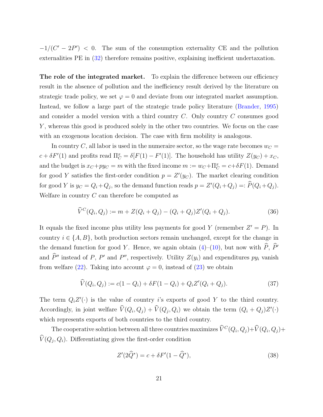$-1/(C'-2P') < 0$ . The sum of the consumption externality CE and the pollution externalities PE in [\(32\)](#page-18-0) therefore remains positive, explaining inefficient undertaxation.

The role of the integrated market. To explain the difference between our efficiency result in the absence of pollution and the inefficiency result derived by the literature on strategic trade policy, we set  $\varphi = 0$  and deviate from our integrated market assumption. Instead, we follow a large part of the strategic trade policy literature [\(Brander,](#page-28-3) [1995\)](#page-28-3) and consider a model version with a third country C. Only country C consumes good Y , whereas this good is produced solely in the other two countries. We focus on the case with an exogenous location decision. The case with firm mobility is analogous.

In country C, all labor is used in the numeraire sector, so the wage rate becomes  $w_C =$  $c + \delta F'(1)$  and profits read  $\Pi_C^x = \delta[F(1) - F'(1)]$ . The household has utility  $Z(y_C) + x_C$ , and the budget is  $x_C + py_C = m$  with the fixed income  $m := w_C + \Pi_C^x = c + \delta F(1)$ . Demand for good Y satisfies the first-order condition  $p = Z'(y_C)$ . The market clearing condition for good Y is  $y_C = Q_i + Q_j$ , so the demand function reads  $p = Z'(Q_i + Q_j) =: \widehat{P}(Q_i + Q_j)$ . Welfare in country  $C$  can therefore be computed as

<span id="page-22-2"></span>
$$
\widehat{V}^C(Q_i, Q_j) := m + Z(Q_i + Q_j) - (Q_i + Q_j)Z'(Q_i + Q_j). \tag{36}
$$

It equals the fixed income plus utility less payments for good Y (remember  $Z' = P$ ). In country  $i \in \{A, B\}$ , both production sectors remain unchanged, except for the change in the demand function for good Y. Hence, we again obtain [\(4\)](#page-8-2)–[\(10\)](#page-10-1), but now with  $\widehat{P}$ ,  $\widehat{P}'$ and  $\hat{P}$ <sup>*''*</sup> instead of *P*, *P'* and *P''*, respectively. Utility  $Z(y_i)$  and expenditures  $py_i$  vanish from welfare [\(22\)](#page-14-0). Taking into account  $\varphi = 0$ , instead of [\(23\)](#page-14-1) we obtain

<span id="page-22-0"></span>
$$
\widehat{V}(Q_i, Q_j) := c(1 - Q_i) + \delta F(1 - Q_i) + Q_i Z'(Q_i + Q_j). \tag{37}
$$

The term  $Q_i Z'(\cdot)$  is the value of country *i*'s exports of good Y to the third country. Accordingly, in joint welfare  $\hat{V}(Q_i, Q_j) + \hat{V}(Q_j, Q_i)$  we obtain the term  $(Q_i + Q_j)Z'(\cdot)$ which represents exports of both countries to the third country.

The cooperative solution between all three countries maximizes  $\hat{V}^C(Q_i, Q_j) + \hat{V}(Q_i, Q_j) + \hat{V}(Q_i, Q_j)$  $V(Q_j, Q_i)$ . Differentiating gives the first-order condition

<span id="page-22-1"></span>
$$
Z'(2\hat{Q}^*) = c + \delta F'(1 - \hat{Q}^*),\tag{38}
$$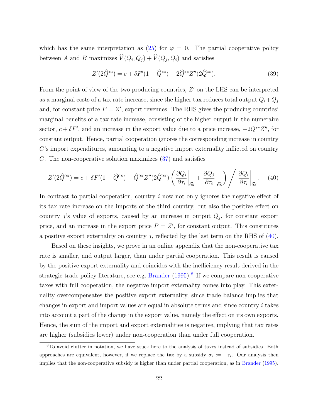which has the same interpretation as  $(25)$  for  $\varphi = 0$ . The partial cooperative policy between A and B maximizes  $V(Q_i, Q_j) + V(Q_j, Q_i)$  and satisfies

<span id="page-23-2"></span>
$$
Z'(2\hat{Q}^{**}) = c + \delta F'(1 - \hat{Q}^{**}) - 2\hat{Q}^{**}Z''(2\hat{Q}^{**}).
$$
\n(39)

From the point of view of the two producing countries,  $Z'$  on the LHS can be interpreted as a marginal costs of a tax rate increase, since the higher tax reduces total output  $Q_i+Q_j$ and, for constant price  $P = Z'$ , export revenues. The RHS gives the producing countries' marginal benefits of a tax rate increase, consisting of the higher output in the numeraire sector,  $c + \delta F'$ , and an increase in the export value due to a price increase,  $-2Q^{**}Z''$ , for constant output. Hence, partial cooperation ignores the corresponding increase in country C's import expenditures, amounting to a negative import externality inflicted on country C. The non-cooperative solution maximizes [\(37\)](#page-22-0) and satisfies

<span id="page-23-0"></span>
$$
Z'(2\widehat{Q}^{\text{ex}}) = c + \delta F'(1 - \widehat{Q}^{\text{ex}}) - \widehat{Q}^{\text{ex}} Z''(2\widehat{Q}^{\text{ex}}) \left(\frac{\partial Q_i}{\partial \tau_i}\bigg|_{\widehat{\text{ex}}} + \frac{\partial Q_j}{\partial \tau_i}\bigg|_{\widehat{\text{ex}}}\right) / \frac{\partial Q_i}{\partial \tau_i}\bigg|_{\widehat{\text{ex}}}.
$$
 (40)

In contrast to partial cooperation, country i now not only ignores the negative effect of its tax rate increase on the imports of the third country, but also the positive effect on country j's value of exports, caused by an increase in output  $Q_j$ , for constant export price, and an increase in the export price  $P = Z'$ , for constant output. This constitutes a positive export externality on country  $j$ , reflected by the last term on the RHS of  $(40)$ .

Based on these insights, we prove in an online appendix that the non-cooperative tax rate is smaller, and output larger, than under partial cooperation. This result is caused by the positive export externality and coincides with the inefficiency result derived in the strategic trade policy literature, see e.g. [Brander](#page-28-3) [\(1995\)](#page-28-3).<sup>[8](#page-23-1)</sup> If we compare non-cooperative taxes with full cooperation, the negative import externality comes into play. This externality overcompensates the positive export externality, since trade balance implies that changes in export and import values are equal in absolute terms and since country i takes into account a part of the change in the export value, namely the effect on its own exports. Hence, the sum of the import and export externalities is negative, implying that tax rates are higher (subsidies lower) under non-cooperation than under full cooperation.

<span id="page-23-1"></span><sup>8</sup>To avoid clutter in notation, we have stuck here to the analysis of taxes instead of subsidies. Both approaches are equivalent, however, if we replace the tax by a subsidy  $\sigma_i := -\tau_i$ . Our analysis then implies that the non-cooperative subsidy is higher than under partial cooperation, as in [Brander](#page-28-3) [\(1995\)](#page-28-3).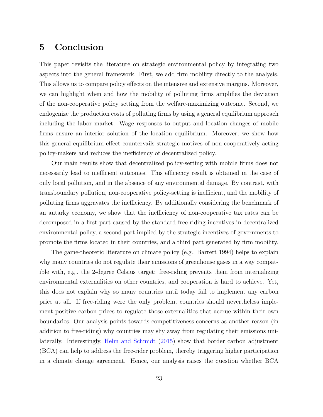#### <span id="page-24-0"></span>5 Conclusion

This paper revisits the literature on strategic environmental policy by integrating two aspects into the general framework. First, we add firm mobility directly to the analysis. This allows us to compare policy effects on the intensive and extensive margins. Moreover, we can highlight when and how the mobility of polluting firms amplifies the deviation of the non-cooperative policy setting from the welfare-maximizing outcome. Second, we endogenize the production costs of polluting firms by using a general equilibrium approach including the labor market. Wage responses to output and location changes of mobile firms ensure an interior solution of the location equilibrium. Moreover, we show how this general equilibrium effect countervails strategic motives of non-cooperatively acting policy-makers and reduces the inefficiency of decentralized policy.

Our main results show that decentralized policy-setting with mobile firms does not necessarily lead to inefficient outcomes. This efficiency result is obtained in the case of only local pollution, and in the absence of any environmental damage. By contrast, with transboundary pollution, non-cooperative policy-setting is inefficient, and the mobility of polluting firms aggravates the inefficiency. By additionally considering the benchmark of an autarky economy, we show that the inefficiency of non-cooperative tax rates can be decomposed in a first part caused by the standard free-riding incentives in decentralized environmental policy, a second part implied by the strategic incentives of governments to promote the firms located in their countries, and a third part generated by firm mobility.

The game-theoretic literature on climate policy (e.g., Barrett 1994) helps to explain why many countries do not regulate their emissions of greenhouse gases in a way compatible with, e.g., the 2-degree Celsius target: free-riding prevents them from internalizing environmental externalities on other countries, and cooperation is hard to achieve. Yet, this does not explain why so many countries until today fail to implement any carbon price at all. If free-riding were the only problem, countries should nevertheless implement positive carbon prices to regulate those externalities that accrue within their own boundaries. Our analysis points towards competitiveness concerns as another reason (in addition to free-riding) why countries may shy away from regulating their emissions unilaterally. Interestingly, [Helm and Schmidt](#page-29-10) [\(2015\)](#page-29-10) show that border carbon adjustment (BCA) can help to address the free-rider problem, thereby triggering higher participation in a climate change agreement. Hence, our analysis raises the question whether BCA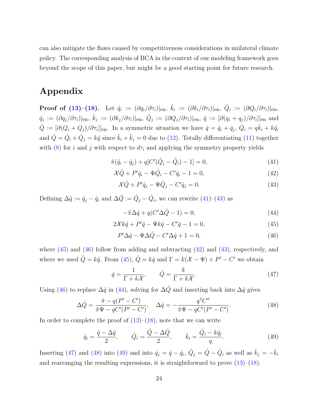can also mitigate the flaws caused by competitiveness considerations in unilateral climate policy. The corresponding analysis of BCA in the context of our modeling framework goes beyond the scope of this paper, but might be a good starting point for future research.

#### Appendix

 $\textbf{Proof of (13)-(18).}\quad \text{Let}\ \ \hat{q}_i\ :=\ (\partial q_i/\partial \tau_i)|_{\text{en}},\ \hat{k}_i\ :=\ (\partial k_i/\partial \tau_i)|_{\text{en}},\ \hat{Q}_i\ :=\ (\partial Q_i/\partial \tau_i)|_{\text{en}},$  $\textbf{Proof of (13)-(18).}\quad \text{Let}\ \ \hat{q}_i\ :=\ (\partial q_i/\partial \tau_i)|_{\text{en}},\ \hat{k}_i\ :=\ (\partial k_i/\partial \tau_i)|_{\text{en}},\ \hat{Q}_i\ :=\ (\partial Q_i/\partial \tau_i)|_{\text{en}},$  $\textbf{Proof of (13)-(18).}\quad \text{Let}\ \ \hat{q}_i\ :=\ (\partial q_i/\partial \tau_i)|_{\text{en}},\ \hat{k}_i\ :=\ (\partial k_i/\partial \tau_i)|_{\text{en}},\ \hat{Q}_i\ :=\ (\partial Q_i/\partial \tau_i)|_{\text{en}},$  $\textbf{Proof of (13)-(18).}\quad \text{Let}\ \ \hat{q}_i\ :=\ (\partial q_i/\partial \tau_i)|_{\text{en}},\ \hat{k}_i\ :=\ (\partial k_i/\partial \tau_i)|_{\text{en}},\ \hat{Q}_i\ :=\ (\partial Q_i/\partial \tau_i)|_{\text{en}},$  $\textbf{Proof of (13)-(18).}\quad \text{Let}\ \ \hat{q}_i\ :=\ (\partial q_i/\partial \tau_i)|_{\text{en}},\ \hat{k}_i\ :=\ (\partial k_i/\partial \tau_i)|_{\text{en}},\ \hat{Q}_i\ :=\ (\partial Q_i/\partial \tau_i)|_{\text{en}},$  $\hat{q}_j := (\partial q_j/\partial \tau_i)|_{\text{en}}, \ \hat{k}_j := (\partial k_j/\partial \tau_i)|_{\text{en}}, \ \hat{Q}_j := (\partial Q_j/\partial \tau_i)|_{\text{en}}, \ \hat{q} := [\partial (q_i + q_j)/\partial \tau_i]|_{\text{en}} \ \text{and}$  $\hat{Q} := [\partial (Q_i + Q_j)/\partial \tau_i]|_{\text{en}}$ . In a symmetric situation we have  $\hat{q} = \hat{q}_i + \hat{q}_j$ ,  $\hat{Q}_i = q\hat{k}_i + k\hat{q}_i$ and  $\hat{Q} = \hat{Q}_i + \hat{Q}_j = k\hat{q}$  since  $\hat{k}_i + \hat{k}_j = 0$  due to [\(12\)](#page-10-2). Totally differentiating [\(11\)](#page-10-2) together with [\(8\)](#page-10-0) for i and j with respect to  $d\tau_i$  and applying the symmetry property yields

<span id="page-25-0"></span>
$$
\tilde{\pi}(\hat{q}_i - \hat{q}_j) + q[C'(\hat{Q}_j - \hat{Q}_i) - 1] = 0,\tag{41}
$$

$$
\mathcal{X}\hat{Q} + P'\hat{q}_i - \Psi\hat{Q}_i - C'\hat{q}_i - 1 = 0,\tag{42}
$$

$$
\mathcal{X}\hat{Q} + P'\hat{q}_j - \Psi\hat{Q}_j - C'\hat{q}_j = 0.
$$
\n(43)

Defining  $\Delta \hat{q} := \hat{q}_j - \hat{q}_i$  and  $\Delta \hat{Q} := \hat{Q}_j - \hat{Q}_i$ , we can rewrite  $(41)$ – $(43)$  as

<span id="page-25-1"></span>
$$
-\tilde{\pi}\Delta \hat{q} + q(C'\Delta \hat{Q} - 1) = 0,\tag{44}
$$

$$
2\mathcal{X}k\hat{q} + P'\hat{q} - \Psi k\hat{q} - C'\hat{q} - 1 = 0,\tag{45}
$$

$$
P'\Delta \hat{q} - \Psi \Delta \hat{Q} - C'\Delta \hat{q} + 1 = 0,\tag{46}
$$

where  $(45)$  and  $(46)$  follow from adding and subtracting  $(42)$  and  $(43)$ , respectively, and where we used  $\hat{Q} = k\hat{q}$ . From [\(45\)](#page-25-1),  $\hat{Q} = k\hat{q}$  and  $\Gamma = k(\mathcal{X} - \Psi) + P' - C'$  we obtain

<span id="page-25-2"></span>
$$
\hat{q} = \frac{1}{\Gamma + k\mathcal{X}}, \qquad \hat{Q} = \frac{k}{\Gamma + k\mathcal{X}}.\tag{47}
$$

Using [\(46\)](#page-25-1) to replace  $\Delta \hat{q}$  in [\(44\)](#page-25-1), solving for  $\Delta \hat{Q}$  and inserting back into  $\Delta \hat{q}$  gives

<span id="page-25-3"></span>
$$
\Delta \hat{Q} = \frac{\tilde{\pi} - q(P' - C')}{\tilde{\pi}\Psi - qC'(P' - C')}, \quad \Delta \hat{q} = -\frac{q^2 C''}{\tilde{\pi}\Psi - qC'(P' - C')}.
$$
\n(48)

In order to complete the proof of  $(13)$ – $(18)$ , note that we can write

<span id="page-25-4"></span>
$$
\hat{q}_i = \frac{\hat{q} - \Delta\hat{q}}{2}, \qquad \hat{Q}_i = \frac{\hat{Q} - \Delta\hat{Q}}{2}, \qquad \hat{k}_i = \frac{\hat{Q}_i - k\hat{q}_i}{q}.
$$
\n(49)

Inserting [\(47\)](#page-25-2) and [\(48\)](#page-25-3) into [\(49\)](#page-25-4) and into  $\hat{q}_j = \hat{q} - \hat{q}_i$ ,  $\hat{Q}_j = \hat{Q} - \hat{Q}_i$  as well as  $\hat{k}_j = -\hat{k}_i$ and rearranging the resulting expressions, it is straightforward to prove [\(13\)](#page-12-0)–[\(18\)](#page-12-1).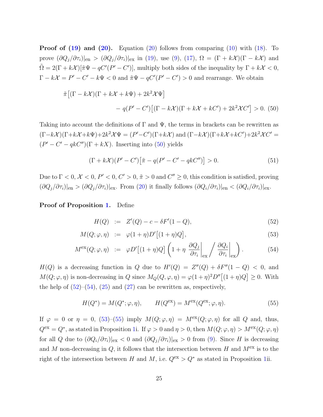**Proof of [\(19\)](#page-13-1) and [\(20\)](#page-13-1).** Equation [\(20\)](#page-13-1) follows from comparing [\(10\)](#page-10-1) with [\(18\)](#page-12-1). To prove  $(\partial Q_j/\partial \tau_i)|_{en} > (\partial Q_j/\partial \tau_i)|_{ex}$  in [\(19\)](#page-13-1), use [\(9\)](#page-10-1), [\(17\)](#page-12-1),  $\Omega = (\Gamma + k\mathcal{X})(\Gamma - k\mathcal{X})$  and  $\tilde{\Omega} = 2(\Gamma + k\mathcal{X})[\tilde{\pi}\Psi - qC'(P' - C')]$ , multiply both sides of the inequality by  $\Gamma + k\mathcal{X} < 0$ ,  $\Gamma - k\mathcal{X} = P' - C' - k\Psi < 0$  and  $\tilde{\pi}\Psi - qC'(P' - C') > 0$  and rearrange. We obtain

<span id="page-26-0"></span>
$$
\tilde{\pi}\left[(\Gamma - k\mathcal{X})(\Gamma + k\mathcal{X} + k\Psi) + 2k^2\mathcal{X}\Psi\right]
$$

$$
-q(P' - C')\left[(\Gamma - k\mathcal{X})(\Gamma + k\mathcal{X} + kC') + 2k^2\mathcal{X}C'\right] > 0. \tag{50}
$$

Taking into account the definitions of  $\Gamma$  and  $\Psi$ , the terms in brackets can be rewritten as  $(\Gamma - k\mathcal{X})(\Gamma + k\mathcal{X} + k\Psi) + 2k^2\mathcal{X}\Psi = (P' - C')(\Gamma + k\mathcal{X})$  and  $(\Gamma - k\mathcal{X})(\Gamma + k\mathcal{X} + kC') + 2k^2\mathcal{X}C' =$  $(P' - C' - qkC'')(\Gamma + kX)$ . Inserting into [\(50\)](#page-26-0) yields

$$
(\Gamma + k\mathcal{X})(P' - C')\big[\tilde{\pi} - q(P' - C' - qkC'')\big] > 0.
$$
 (51)

Due to  $\Gamma < 0$ ,  $\mathcal{X} < 0$ ,  $P' < 0$ ,  $C' > 0$ ,  $\tilde{\pi} > 0$  and  $C'' \ge 0$ , this condition is satisfied, proving  $(\partial Q_j/\partial \tau_i)|_{\text{en}} > (\partial Q_j/\partial \tau_i)|_{\text{ex}}$ . From [\(20\)](#page-13-1) it finally follows  $(\partial Q_i/\partial \tau_i)|_{\text{en}} < (\partial Q_i/\partial \tau_i)|_{\text{ex}}$ .

Proof of Proposition [1.](#page-17-0) Define

<span id="page-26-1"></span>
$$
H(Q) := Z'(Q) - c - \delta F'(1 - Q), \tag{52}
$$

$$
M(Q; \varphi, \eta) := \varphi(1+\eta)D'\big[(1+\eta)Q\big],\tag{53}
$$

$$
M^{\text{ex}}(Q;\varphi,\eta) \quad := \quad \varphi D' \big[ (1+\eta)Q \big] \left( 1 + \eta \left. \frac{\partial Q_j}{\partial \tau_i} \right|_{\text{ex}} \right/ \left. \frac{\partial Q_i}{\partial \tau_i} \right|_{\text{ex}} \right). \tag{54}
$$

 $H(Q)$  is a decreasing function in Q due to  $H'(Q) = Z''(Q) + \delta F''(1 - Q) < 0$ , and  $M(Q; \varphi, \eta)$  is non-decreasing in Q since  $M_Q(Q, \varphi, \eta) = \varphi(1+\eta)^2 D''[(1+\eta)Q] \geq 0$ . With the help of  $(52)$ – $(54)$ ,  $(25)$  and  $(27)$  can be rewritten as, respectively,

<span id="page-26-2"></span>
$$
H(Q^*) = M(Q^*; \varphi, \eta), \qquad H(Q^{\text{ex}}) = M^{\text{ex}}(Q^{\text{ex}}; \varphi, \eta). \tag{55}
$$

If  $\varphi = 0$  or  $\eta = 0$ , [\(53\)](#page-26-1)–[\(55\)](#page-26-2) imply  $M(Q; \varphi, \eta) = M^{\text{ex}}(Q; \varphi, \eta)$  for all Q and, thus,  $Q^{\text{ex}} = Q^*$ , as stated in Proposition [1i](#page-17-0). If  $\varphi > 0$  and  $\eta > 0$ , then  $M(Q; \varphi, \eta) > M^{\text{ex}}(Q; \varphi, \eta)$ for all Q due to  $(\partial Q_i/\partial \tau_i)|_{\text{ex}} < 0$  and  $(\partial Q_j/\partial \tau_i)|_{\text{ex}} > 0$  from [\(9\)](#page-10-1). Since H is decreasing and M non-decreasing in  $Q$ , it follows that the intersection between H and  $M^{\text{ex}}$  is to the right of the intersection between H and M, i.e.  $Q^{ex} > Q^*$  as stated in Proposition [1i](#page-17-0)i.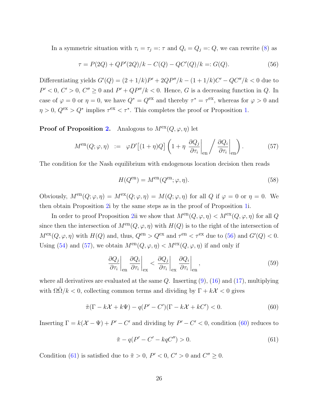In a symmetric situation with  $\tau_i = \tau_j =: \tau$  and  $Q_i = Q_j =: Q$ , we can rewrite [\(8\)](#page-10-0) as

<span id="page-27-0"></span>
$$
\tau = P(2Q) + QP'(2Q)/k - C(Q) - QC'(Q)/k =: G(Q).
$$
\n(56)

Differentiating yields  $G'(Q) = (2 + 1/k)P' + 2QP''/k - (1 + 1/k)C' - QC''/k < 0$  due to  $P' < 0, C' > 0, C'' \ge 0$  and  $P' + QP''/k < 0$ . Hence, G is a decreasing function in Q. In case of  $\varphi = 0$  or  $\eta = 0$ , we have  $Q^* = Q^{\text{ex}}$  and thereby  $\tau^* = \tau^{\text{ex}}$ , whereas for  $\varphi > 0$  and  $\eta > 0$ ,  $Q^{\text{ex}} > Q^*$  implies  $\tau^{\text{ex}} < \tau^*$ . This completes the proof or Proposition [1.](#page-17-0)

**Proof of Proposition [2.](#page-19-1)** Analogous to  $M^{\text{ex}}(Q, \varphi, \eta)$  let

<span id="page-27-1"></span>
$$
M^{\text{en}}(Q; \varphi, \eta) \quad := \quad \varphi D' \big[ (1 + \eta) Q \big] \left( 1 + \eta \left. \frac{\partial Q_j}{\partial \tau_i} \right|_{\text{en}} \right/ \left. \frac{\partial Q_i}{\partial \tau_i} \right|_{\text{en}} \right). \tag{57}
$$

The condition for the Nash equilibrium with endogenous location decision then reads

$$
H(Q^{\text{en}}) = M^{\text{en}}(Q^{\text{en}}; \varphi, \eta). \tag{58}
$$

Obviously,  $M^{en}(Q; \varphi, \eta) = M^{ex}(Q; \varphi, \eta) = M(Q; \varphi, \eta)$  for all Q if  $\varphi = 0$  or  $\eta = 0$ . We then obtain Proposition [2i](#page-19-1) by the same steps as in the proof of Proposition [1i](#page-17-0).

In order to proof Proposition [2i](#page-19-1)i we show that  $M^{en}(Q, \varphi, \eta) < M^{ex}(Q, \varphi, \eta)$  for all Q since then the intersection of  $M^{en}(Q, \varphi, \eta)$  with  $H(Q)$  is to the right of the intersection of  $M^{\text{ex}}(Q, \varphi, \eta)$  with  $H(Q)$  and, thus,  $Q^{\text{en}} > Q^{\text{ex}}$  and  $\tau^{\text{en}} < \tau^{\text{ex}}$  due to [\(56\)](#page-27-0) and  $G'(Q) < 0$ . Using [\(54\)](#page-26-1) and [\(57\)](#page-27-1), we obtain  $M^{\text{en}}(Q, \varphi, \eta) < M^{\text{ex}}(Q, \varphi, \eta)$  if and only if

$$
\left. \frac{\partial Q_j}{\partial \tau_i} \right|_{\text{en}} \left. \frac{\partial Q_i}{\partial \tau_i} \right|_{\text{ex}} < \left. \frac{\partial Q_j}{\partial \tau_i} \right|_{\text{ex}} \left. \frac{\partial Q_i}{\partial \tau_i} \right|_{\text{en}},\tag{59}
$$

where all derivatives are evaluated at the same  $Q$ . Inserting  $(9)$ ,  $(16)$  and  $(17)$ , multiplying with  $\Omega \tilde{\Omega}/k < 0$ , collecting common terms and dividing by  $\Gamma + k\mathcal{X} < 0$  gives

<span id="page-27-2"></span>
$$
\tilde{\pi}(\Gamma - k\mathcal{X} + k\Psi) - q(P' - C')(\Gamma - k\mathcal{X} + kC') < 0. \tag{60}
$$

Inserting  $\Gamma = k(\mathcal{X} - \Psi) + P' - C'$  and dividing by  $P' - C' < 0$ , condition [\(60\)](#page-27-2) reduces to

<span id="page-27-3"></span>
$$
\tilde{\pi} - q(P' - C' - kqC'') > 0.
$$
\n(61)

Condition [\(61\)](#page-27-3) is satisfied due to  $\tilde{\pi} > 0$ ,  $P' < 0$ ,  $C' > 0$  and  $C'' \ge 0$ .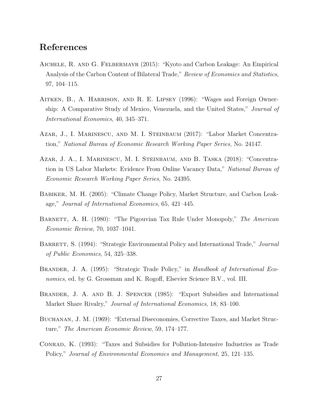#### References

- <span id="page-28-8"></span>Aichele, R. and G. Felbermayr (2015): "Kyoto and Carbon Leakage: An Empirical Analysis of the Carbon Content of Bilateral Trade," Review of Economics and Statistics, 97, 104–115.
- <span id="page-28-6"></span>AITKEN, B., A. HARRISON, AND R. E. LIPSEY (1996): "Wages and Foreign Ownership: A Comparative Study of Mexico, Venezuela, and the United States," Journal of International Economics, 40, 345–371.
- <span id="page-28-4"></span>Azar, J., I. Marinescu, and M. I. Steinbaum (2017): "Labor Market Concentration," National Bureau of Economic Research Working Paper Series, No. 24147.
- <span id="page-28-5"></span>Azar, J. A., I. Marinescu, M. I. Steinbaum, and B. Taska (2018): "Concentration in US Labor Markets: Evidence From Online Vacancy Data," National Bureau of Economic Research Working Paper Series, No. 24395.
- <span id="page-28-7"></span>Babiker, M. H. (2005): "Climate Change Policy, Market Structure, and Carbon Leakage," Journal of International Economics, 65, 421–445.
- <span id="page-28-10"></span>BARNETT, A. H. (1980): "The Pigouvian Tax Rule Under Monopoly," The American Economic Review, 70, 1037–1041.
- <span id="page-28-1"></span>BARRETT, S. (1994): "Strategic Environmental Policy and International Trade," *Journal* of Public Economics, 54, 325–338.
- <span id="page-28-3"></span>BRANDER, J. A. (1995): "Strategic Trade Policy," in Handbook of International Economics, ed. by G. Grossman and K. Rogoff, Elsevier Science B.V., vol. III.
- <span id="page-28-2"></span>Brander, J. A. and B. J. Spencer (1985): "Export Subsidies and International Market Share Rivalry," Journal of International Economics, 18, 83–100.
- <span id="page-28-9"></span>Buchanan, J. M. (1969): "External Diseconomies, Corrective Taxes, and Market Structure," The American Economic Review, 59, 174–177.
- <span id="page-28-0"></span>Conrad, K. (1993): "Taxes and Subsidies for Pollution-Intensive Industries as Trade Policy," Journal of Environmental Economics and Management, 25, 121–135.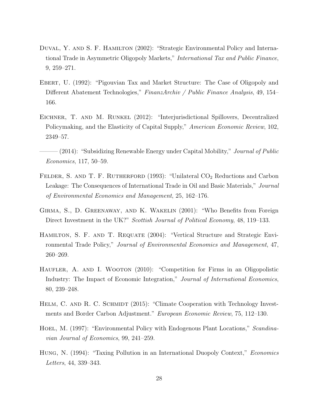- <span id="page-29-1"></span>Duval, Y. and S. F. Hamilton (2002): "Strategic Environmental Policy and International Trade in Asymmetric Oligopoly Markets," International Tax and Public Finance, 9, 259–271.
- <span id="page-29-9"></span>Ebert, U. (1992): "Pigouvian Tax and Market Structure: The Case of Oligopoly and Different Abatement Technologies," FinanzArchiv / Public Finance Analysis, 49, 154– 166.
- <span id="page-29-4"></span>Eichner, T. and M. Runkel (2012): "Interjurisdictional Spillovers, Decentralized Policymaking, and the Elasticity of Capital Supply," American Economic Review, 102, 2349–57.
- <span id="page-29-5"></span> $(2014)$ : "Subsidizing Renewable Energy under Capital Mobility," *Journal of Public* Economics, 117, 50–59.
- <span id="page-29-8"></span>FELDER, S. AND T. F. RUTHERFORD (1993): "Unilateral  $CO<sub>2</sub>$  Reductions and Carbon Leakage: The Consequences of International Trade in Oil and Basic Materials," Journal of Environmental Economics and Management, 25, 162–176.
- <span id="page-29-7"></span>Girma, S., D. Greenaway, and K. Wakelin (2001): "Who Benefits from Foreign Direct Investment in the UK?" Scottish Journal of Political Economy, 48, 119–133.
- <span id="page-29-2"></span>Hamilton, S. F. and T. Requate (2004): "Vertical Structure and Strategic Environmental Trade Policy," Journal of Environmental Economics and Management, 47, 260–269.
- <span id="page-29-6"></span>HAUFLER, A. AND I. WOOTON (2010): "Competition for Firms in an Oligopolistic Industry: The Impact of Economic Integration," Journal of International Economics, 80, 239–248.
- <span id="page-29-10"></span>HELM, C. AND R. C. SCHMIDT (2015): "Climate Cooperation with Technology Investments and Border Carbon Adjustment." European Economic Review, 75, 112–130.
- <span id="page-29-3"></span>HOEL, M. (1997): "Environmental Policy with Endogenous Plant Locations," Scandinavian Journal of Economics, 99, 241–259.
- <span id="page-29-0"></span>HUNG, N. (1994): "Taxing Pollution in an International Duopoly Context," *Economics* Letters, 44, 339–343.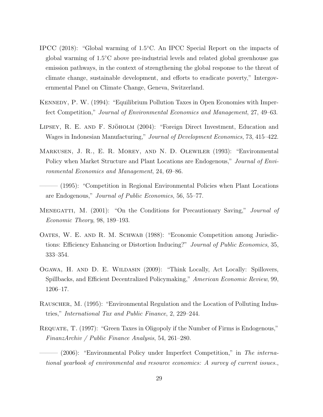- <span id="page-30-0"></span>IPCC (2018): "Global warming of 1.5◦C. An IPCC Special Report on the impacts of global warming of 1.5◦C above pre-industrial levels and related global greenhouse gas emission pathways, in the context of strengthening the global response to the threat of climate change, sustainable development, and efforts to eradicate poverty," Intergovernmental Panel on Climate Change, Geneva, Switzerland.
- <span id="page-30-1"></span>Kennedy, P. W. (1994): "Equilibrium Pollution Taxes in Open Economies with Imperfect Competition," Journal of Environmental Economics and Management, 27, 49–63.
- <span id="page-30-10"></span>LIPSEY, R. E. AND F. SJÖHOLM (2004): "Foreign Direct Investment, Education and Wages in Indonesian Manufacturing," Journal of Development Economics, 73, 415–422.
- <span id="page-30-4"></span>Markusen, J. R., E. R. Morey, and N. D. Olewiler (1993): "Environmental Policy when Market Structure and Plant Locations are Endogenous," Journal of Environmental Economics and Management, 24, 69–86.
- <span id="page-30-5"></span>——— (1995): "Competition in Regional Environmental Policies when Plant Locations are Endogenous," Journal of Public Economics, 56, 55–77.
- <span id="page-30-8"></span>MENEGATTI, M. (2001): "On the Conditions for Precautionary Saving," *Journal of* Economic Theory, 98, 189–193.
- <span id="page-30-3"></span>OATES, W. E. AND R. M. SCHWAB (1988): "Economic Competition among Jurisdictions: Efficiency Enhancing or Distortion Inducing?" *Journal of Public Economics*, 35, 333–354.
- <span id="page-30-7"></span>OGAWA, H. AND D. E. WILDASIN (2009): "Think Locally, Act Locally: Spillovers, Spillbacks, and Efficient Decentralized Policymaking," American Economic Review, 99, 1206–17.
- <span id="page-30-6"></span>Rauscher, M. (1995): "Environmental Regulation and the Location of Polluting Industries," International Tax and Public Finance, 2, 229–244.
- <span id="page-30-9"></span>Requate, T. (1997): "Green Taxes in Oligopoly if the Number of Firms is Endogenous," FinanzArchiv / Public Finance Analysis, 54, 261–280.
- <span id="page-30-2"></span>- (2006): "Environmental Policy under Imperfect Competition," in The international yearbook of environmental and resource economics: A survey of current issues.,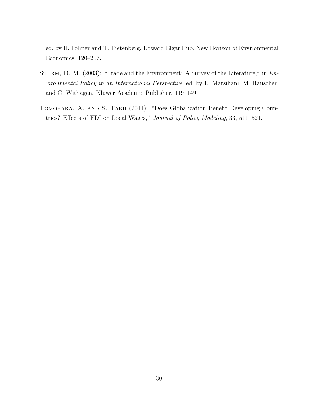ed. by H. Folmer and T. Tietenberg, Edward Elgar Pub, New Horizon of Environmental Economics, 120–207.

- <span id="page-31-0"></span>STURM, D. M. (2003): "Trade and the Environment: A Survey of the Literature," in Environmental Policy in an International Perspective, ed. by L. Marsiliani, M. Rauscher, and C. Withagen, Kluwer Academic Publisher, 119–149.
- <span id="page-31-1"></span>TOMOHARA, A. AND S. TAKII (2011): "Does Globalization Benefit Developing Countries? Effects of FDI on Local Wages," Journal of Policy Modeling, 33, 511–521.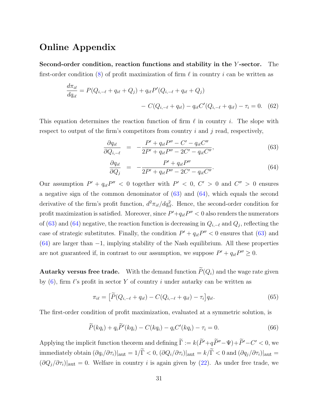#### Online Appendix

Second-order condition, reaction functions and stability in the Y -sector. The first-order condition [\(8\)](#page-10-0) of profit maximization of firm  $\ell$  in country i can be written as

$$
\frac{d\pi_{i\ell}}{dq_{i\ell}} = P(Q_{i,-\ell} + q_{i\ell} + Q_j) + q_{i\ell}P'(Q_{i,-\ell} + q_{i\ell} + Q_j) \n- C(Q_{i,-\ell} + q_{i\ell}) - q_{i\ell}C'(Q_{i,-\ell} + q_{i\ell}) - \tau_i = 0.
$$
\n(62)

This equation determines the reaction function of firm  $\ell$  in country i. The slope with respect to output of the firm's competitors from country  $i$  and  $j$  read, respectively,

<span id="page-32-0"></span>
$$
\frac{\partial q_{i\ell}}{\partial Q_{i,-\ell}} = -\frac{P' + q_{i\ell}P'' - C' - q_{i\ell}C''}{2P' + q_{i\ell}P'' - 2C' - q_{i\ell}C''},
$$
\n(63)

$$
\frac{\partial q_{i\ell}}{\partial Q_j} = -\frac{P' + q_{i\ell}P''}{2P' + q_{i\ell}P'' - 2C' - q_{i\ell}C''}.\tag{64}
$$

Our assumption  $P' + q_{i\ell}P'' < 0$  together with  $P' < 0$ ,  $C' > 0$  and  $C'' > 0$  ensures a negative sign of the common denominator of [\(63\)](#page-32-0) and [\(64\)](#page-32-0), which equals the second derivative of the firm's profit function,  $d^2 \pi_{i\ell}/dq_{i\ell}^2$ . Hence, the second-order condition for profit maximization is satisfied. Moreover, since  $P' + q_{i\ell}P'' < 0$  also renders the numerators of [\(63\)](#page-32-0) and [\(64\)](#page-32-0) negative, the reaction function is decreasing in  $Q_{i,-\ell}$  and  $Q_j$ , reflecting the case of strategic substitutes. Finally, the condition  $P' + q_{i\ell}P'' < 0$  ensures that [\(63\)](#page-32-0) and  $(64)$  are larger than  $-1$ , implying stability of the Nash equilibrium. All these properties are not guaranteed if, in contrast to our assumption, we suppose  $P' + q_{i\ell}P'' \geq 0$ .

**Autarky versus free trade.** With the demand function  $\widetilde{P}(Q_i)$  and the wage rate given by  $(6)$ , firm  $\ell$ 's profit in sector Y of country i under autarky can be written as

$$
\pi_{i\ell} = \left[ \widetilde{P}(Q_{i,-\ell} + q_{i\ell}) - C(Q_{i,-\ell} + q_{i\ell}) - \tau_i \right] q_{i\ell}.
$$
\n(65)

The first-order condition of profit maximization, evaluated at a symmetric solution, is

$$
\widetilde{P}(kq_i) + q_i \widetilde{P}'(kq_i) - C(kq_i) - q_i C'(kq_i) - \tau_i = 0.
$$
\n(66)

Applying the implicit function theorem and defining  $\tilde{\Gamma} := k(\tilde{P}'+q\tilde{P}''-\Psi) + \tilde{P}'-C' < 0$ , we immediately obtain  $(\partial q_i/\partial \tau_i)|_{\text{aut}} = 1/\tilde{\Gamma} < 0$ ,  $(\partial Q_i/\partial \tau_i)|_{\text{aut}} = k/\tilde{\Gamma} < 0$  and  $(\partial q_j/\partial \tau_i)|_{\text{aut}} =$  $(\partial Q_j/\partial \tau_i)|_{\text{aut}} = 0$ . Welfare in country *i* is again given by [\(22\)](#page-14-0). As under free trade, we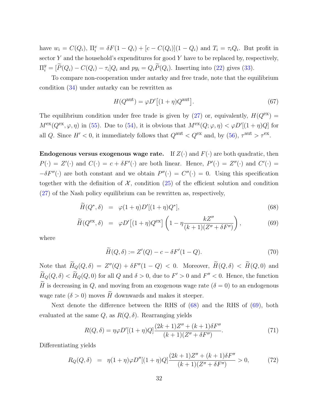have  $w_i = C(Q_i)$ ,  $\Pi_i^x = \delta F(1 - Q_i) + [c - C(Q_i)](1 - Q_i)$  and  $T_i = \tau_i Q_i$ . But profit in sector  $Y$  and the household's expenditures for good  $Y$  have to be replaced by, respectively,  $\Pi_i^y = [\widetilde{P}(Q_i) - C(Q_i) - \tau_i]Q_i$  and  $py_i = Q_i \widetilde{P}(Q_i)$ . Inserting into [\(22\)](#page-14-0) gives [\(33\)](#page-20-0).

To compare non-cooperation under autarky and free trade, note that the equilibrium condition [\(34\)](#page-20-1) under autarky can be rewritten as

$$
H(Q^{\text{aut}}) = \varphi D'[(1+\eta)Q^{\text{aut}}].
$$
\n(67)

The equilibrium condition under free trade is given by [\(27\)](#page-16-1) or, equivalently,  $H(Q^{ex}) =$  $M^{\text{ex}}(Q^{\text{ex}}, \varphi, \eta)$  in [\(55\)](#page-26-2). Due to [\(54\)](#page-26-1), it is obvious that  $M^{\text{ex}}(Q; \varphi, \eta) < \varphi D'[(1 + \eta)Q]$  for all Q. Since  $H' < 0$ , it immediately follows that  $Q^{\text{aut}} < Q^{\text{ex}}$  and, by [\(56\)](#page-27-0),  $\tau^{\text{aut}} > \tau^{\text{ex}}$ .

**Endogenous versus exogenous wage rate.** If  $Z(\cdot)$  and  $F(\cdot)$  are both quadratic, then  $P(\cdot) = Z'(\cdot)$  and  $C(\cdot) = c + \delta F'(\cdot)$  are both linear. Hence,  $P'(\cdot) = Z''(\cdot)$  and  $C'(\cdot) =$  $-\delta F''(\cdot)$  are both constant and we obtain  $P''(\cdot) = C''(\cdot) = 0$ . Using this specification together with the definition of  $\mathcal{X}$ , condition [\(25\)](#page-15-1) of the efficient solution and condition [\(27\)](#page-16-1) of the Nash policy equilibrium can be rewritten as, respectively,

<span id="page-33-0"></span>
$$
\widetilde{H}(Q^*,\delta) = \varphi(1+\eta)D'[(1+\eta)Q^*],\tag{68}
$$

$$
\widetilde{H}(Q^{\text{ex}},\delta) = \varphi D'[(1+\eta)Q^{\text{ex}}] \left(1 - \eta \frac{kZ''}{(k+1)(Z'' + \delta F'')}\right),\tag{69}
$$

where

$$
\widetilde{H}(Q,\delta) := Z'(Q) - c - \delta F'(1 - Q). \tag{70}
$$

Note that  $\tilde{H}_Q(Q,\delta) = Z''(Q) + \delta F''(1-Q) < 0$ . Moreover,  $\tilde{H}(Q,\delta) < H(Q,0)$  and  $\widetilde{H}_Q(Q,\delta) < \widetilde{H}_Q(Q,0)$  for all  $Q$  and  $\delta > 0$ , due to  $F' > 0$  and  $F'' < 0$ . Hence, the function  $\widetilde{H}$  is decreasing in Q, and moving from an exogenous wage rate  $(\delta = 0)$  to an endogenous wage rate  $(\delta > 0)$  moves H downwards and makes it steeper.

Next denote the difference between the RHS of [\(68\)](#page-33-0) and the RHS of [\(69\)](#page-33-0), both evaluated at the same  $Q$ , as  $R(Q, \delta)$ . Rearranging yields

$$
R(Q, \delta) = \eta \varphi D'[(1+\eta)Q] \frac{(2k+1)Z'' + (k+1)\delta F''}{(k+1)(Z'' + \delta F'')}.
$$
\n(71)

Differentiating yields

<span id="page-33-1"></span>
$$
R_Q(Q,\delta) = \eta(1+\eta)\varphi D''[(1+\eta)Q]\frac{(2k+1)Z'' + (k+1)\delta F''}{(k+1)(Z'' + \delta F'')} > 0,
$$
 (72)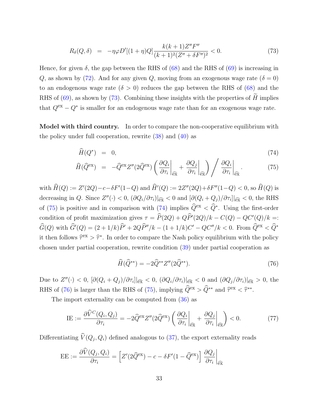$$
R_{\delta}(Q,\delta) = -\eta \varphi D'[(1+\eta)Q] \frac{k(k+1)Z''F''}{(k+1)^2(Z''+\delta F'')^2} < 0. \tag{73}
$$

Hence, for given  $\delta$ , the gap between the RHS of [\(68\)](#page-33-0) and the RHS of [\(69\)](#page-33-0) is increasing in Q, as shown by [\(72\)](#page-33-1). And for any given Q, moving from an exogenous wage rate  $(\delta = 0)$ to an endogenous wage rate  $(\delta > 0)$  reduces the gap between the RHS of [\(68\)](#page-33-0) and the RHS of  $(69)$ , as shown by  $(73)$ . Combining these insights with the properties of H implies that  $Q^{ex} - Q^*$  is smaller for an endogenous wage rate than for an exogenous wage rate.

Model with third country. In order to compare the non-cooperative equilibrium with the policy under full cooperation, rewrite  $(38)$  and  $(40)$  as

<span id="page-34-0"></span>
$$
\widehat{H}(Q^*) = 0,\t(74)
$$

$$
\widehat{H}(\widehat{Q}^{\text{ex}}) = -\widehat{Q}^{\text{ex}} Z''(2\widehat{Q}^{\text{ex}}) \left(\frac{\partial Q_i}{\partial \tau_i}\bigg|_{\widehat{\text{ex}}} + \frac{\partial Q_j}{\partial \tau_i}\bigg|_{\widehat{\text{ex}}}\right) / \frac{\partial Q_i}{\partial \tau_i}\bigg|_{\widehat{\text{ex}}}.
$$
\n(75)

with  $\hat{H}(Q) := Z'(2Q) - c - \delta F'(1-Q)$  and  $\hat{H}'(Q) := 2Z''(2Q) + \delta F''(1-Q) < 0$ , so  $\hat{H}(Q)$  is decreasing in Q. Since  $Z''(\cdot) < 0$ ,  $(\partial Q_i/\partial \tau_i)|_{\widehat{ex}} < 0$  and  $[\partial (Q_i + Q_j)/\partial \tau_i]|_{\widehat{ex}} < 0$ , the RHS of [\(75\)](#page-34-0) is positive and in comparison with [\(74\)](#page-34-0) implies  $\widehat{Q}^{\text{ex}} < \widehat{Q}^*$ . Using the first-order condition of profit maximization gives  $\tau = \hat{P}(2Q) + Q\hat{P}'(2Q)/k - C(Q) - QC'(Q)/k =$  $\hat{G}(Q)$  with  $\hat{G}'(Q) = (2 + 1/k)\hat{P}' + 2Q\hat{P}''/k - (1 + 1/k)C' - QC''/k < 0$ . From  $\hat{Q}^{\text{ex}} < \hat{Q}^*$ it then follows  $\hat{\tau}^{\text{ex}} > \hat{\tau}^*$ . In order to compare the Nash policy equilibrium with the policy chosen under partial cooperation, rewrite condition [\(39\)](#page-23-2) under partial cooperation as

<span id="page-34-1"></span>
$$
\widehat{H}(\widehat{Q}^{**}) = -2\widehat{Q}^{**}Z''(2\widehat{Q}^{**}).
$$
\n(76)

Due to  $Z''(\cdot) < 0$ ,  $[\partial (Q_i + Q_j)/\partial \tau_i]|_{\widehat{ex}} < 0$ ,  $(\partial Q_i/\partial \tau_i)|_{\widehat{ex}} < 0$  and  $(\partial Q_j/\partial \tau_i)|_{\widehat{ex}} > 0$ , the RHS of [\(76\)](#page-34-1) is larger than the RHS of [\(75\)](#page-34-0), implying  $\hat{Q}^{\text{ex}} > \hat{Q}^{**}$  and  $\hat{\tau}^{\text{ex}} < \hat{\tau}^{**}$ .

The import externality can be computed from [\(36\)](#page-22-2) as

$$
\text{IE} := \frac{\partial \widehat{V}^C(Q_i, Q_j)}{\partial \tau_i} = -2 \widehat{Q}^{\text{ex}} Z''(2 \widehat{Q}^{\text{ex}}) \left( \frac{\partial Q_i}{\partial \tau_i} \bigg|_{\widehat{\text{ex}}} + \frac{\partial Q_j}{\partial \tau_i} \bigg|_{\widehat{\text{ex}}} \right) < 0. \tag{77}
$$

Differentiating  $V(Q_j, Q_i)$  defined analogous to [\(37\)](#page-22-0), the export externality reads

$$
\text{EE} := \frac{\partial \hat{V}(Q_j, Q_i)}{\partial \tau_i} = \left[ Z'(2\widehat{Q}^{\text{ex}}) - c - \delta F'(1 - \widehat{Q}^{\text{ex}}) \right] \frac{\partial Q_j}{\partial \tau_i}\bigg|_{\widehat{\text{ex}}}
$$